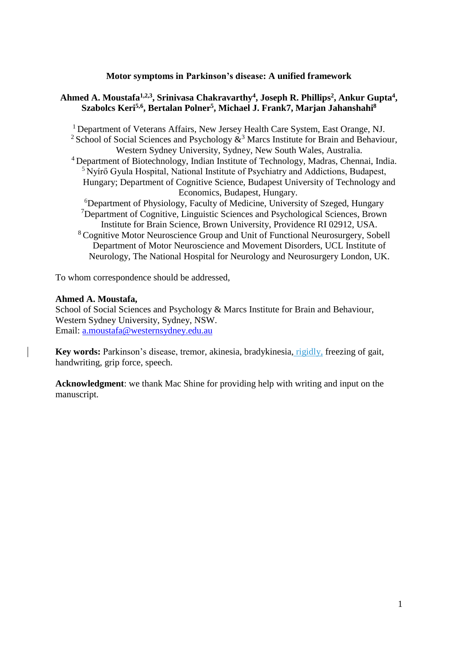# **Motor symptoms in Parkinson's disease: A unified framework**

# **Ahmed A. Moustafa1,2,3 , Srinivasa Chakravarthy<sup>4</sup> , Joseph R. Phillips<sup>2</sup> , Ankur Gupta<sup>4</sup> , Szabolcs Keri5,6 , Bertalan Polner<sup>5</sup> , Michael J. Frank7, Marjan Jahanshahi<sup>8</sup>**

<sup>1</sup> Department of Veterans Affairs, New Jersey Health Care System, East Orange, NJ. <sup>2</sup> School of Social Sciences and Psychology  $\mathring{\mathcal{R}}^3$  Marcs Institute for Brain and Behaviour, Western Sydney University, Sydney, New South Wales, Australia. <sup>4</sup>Department of Biotechnology, Indian Institute of Technology, Madras, Chennai, India. <sup>5</sup> Nyírő Gyula Hospital, National Institute of Psychiatry and Addictions, Budapest, Hungary; Department of Cognitive Science, Budapest University of Technology and Economics, Budapest, Hungary. <sup>6</sup>Department of Physiology, Faculty of Medicine, University of Szeged, Hungary <sup>7</sup>Department of Cognitive, Linguistic Sciences and Psychological Sciences, Brown Institute for Brain Science, Brown University, Providence RI 02912, USA. <sup>8</sup> Cognitive Motor Neuroscience Group and Unit of Functional Neurosurgery, Sobell Department of Motor Neuroscience and Movement Disorders, UCL Institute of Neurology, The National Hospital for Neurology and Neurosurgery London, UK.

To whom correspondence should be addressed,

## **Ahmed A. Moustafa,**

School of Social Sciences and Psychology & Marcs Institute for Brain and Behaviour, Western Sydney University, Sydney, NSW. Email: [a.moustafa@westernsydney.edu.au](mailto:a.moustafa@uws.edu.au)

Key words: Parkinson's disease, tremor, akinesia, bradykinesia, rigidly, freezing of gait, handwriting, grip force, speech.

**Acknowledgment**: we thank Mac Shine for providing help with writing and input on the manuscript.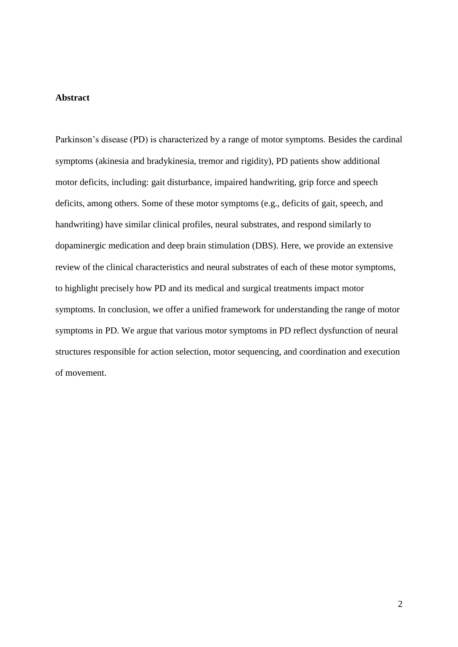## **Abstract**

Parkinson's disease (PD) is characterized by a range of motor symptoms. Besides the cardinal symptoms (akinesia and bradykinesia, tremor and rigidity), PD patients show additional motor deficits, including: gait disturbance, impaired handwriting, grip force and speech deficits, among others. Some of these motor symptoms (e.g., deficits of gait, speech, and handwriting) have similar clinical profiles, neural substrates, and respond similarly to dopaminergic medication and deep brain stimulation (DBS). Here, we provide an extensive review of the clinical characteristics and neural substrates of each of these motor symptoms, to highlight precisely how PD and its medical and surgical treatments impact motor symptoms. In conclusion, we offer a unified framework for understanding the range of motor symptoms in PD. We argue that various motor symptoms in PD reflect dysfunction of neural structures responsible for action selection, motor sequencing, and coordination and execution of movement.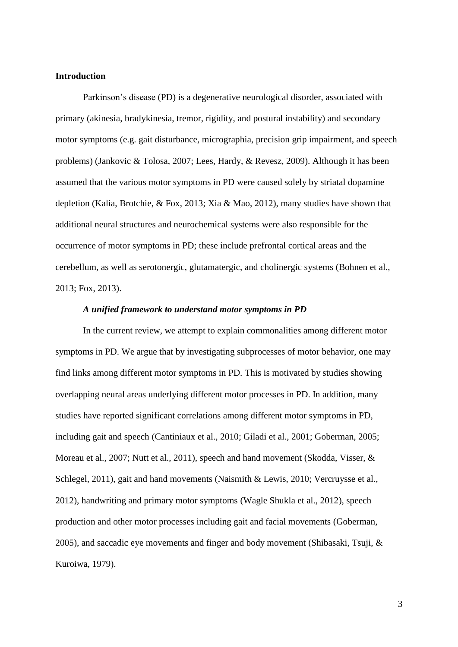## **Introduction**

Parkinson's disease (PD) is a degenerative neurological disorder, associated with primary (akinesia, bradykinesia, tremor, rigidity, and postural instability) and secondary motor symptoms (e.g. gait disturbance, micrographia, precision grip impairment, and speech problems) [\(Jankovic & Tolosa, 2007;](#page-38-0) [Lees, Hardy, & Revesz, 2009\)](#page-39-0). Although it has been assumed that the various motor symptoms in PD were caused solely by striatal dopamine depletion [\(Kalia, Brotchie, & Fox, 2013;](#page-38-1) [Xia & Mao, 2012\)](#page-46-0), many studies have shown that additional neural structures and neurochemical systems were also responsible for the occurrence of motor symptoms in PD; these include prefrontal cortical areas and the cerebellum, as well as serotonergic, glutamatergic, and cholinergic systems [\(Bohnen et al.,](#page-35-0)  [2013;](#page-35-0) [Fox, 2013\)](#page-37-0).

#### *A unified framework to understand motor symptoms in PD*

In the current review, we attempt to explain commonalities among different motor symptoms in PD. We argue that by investigating subprocesses of motor behavior, one may find links among different motor symptoms in PD. This is motivated by studies showing overlapping neural areas underlying different motor processes in PD. In addition, many studies have reported significant correlations among different motor symptoms in PD, including gait and speech [\(Cantiniaux et al., 2010;](#page-35-1) [Giladi et al., 2001;](#page-37-1) [Goberman, 2005;](#page-37-2) [Moreau et al., 2007;](#page-40-0) [Nutt et al., 2011\)](#page-41-0), speech and hand movement [\(Skodda, Visser, &](#page-44-0)  [Schlegel, 2011\)](#page-44-0), gait and hand movements [\(Naismith & Lewis, 2010;](#page-41-1) [Vercruysse et al.,](#page-45-0)  [2012\)](#page-45-0), handwriting and primary motor symptoms [\(Wagle Shukla et al., 2012\)](#page-46-1), speech production and other motor processes including gait and facial movements [\(Goberman,](#page-37-2)  [2005\)](#page-37-2), and saccadic eye movements and finger and body movement [\(Shibasaki, Tsuji, &](#page-43-0)  [Kuroiwa, 1979\)](#page-43-0).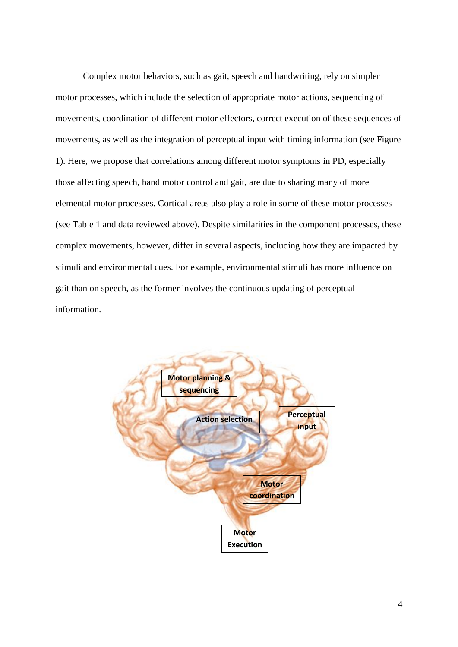Complex motor behaviors, such as gait, speech and handwriting, rely on simpler motor processes, which include the selection of appropriate motor actions, sequencing of movements, coordination of different motor effectors, correct execution of these sequences of movements, as well as the integration of perceptual input with timing information (see Figure 1). Here, we propose that correlations among different motor symptoms in PD, especially those affecting speech, hand motor control and gait, are due to sharing many of more elemental motor processes. Cortical areas also play a role in some of these motor processes (see Table 1 and data reviewed above). Despite similarities in the component processes, these complex movements, however, differ in several aspects, including how they are impacted by stimuli and environmental cues. For example, environmental stimuli has more influence on gait than on speech, as the former involves the continuous updating of perceptual information.

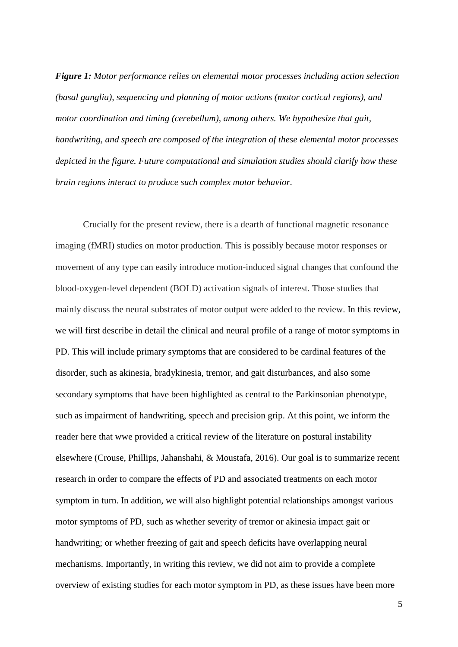*Figure 1: Motor performance relies on elemental motor processes including action selection (basal ganglia), sequencing and planning of motor actions (motor cortical regions), and motor coordination and timing (cerebellum), among others. We hypothesize that gait, handwriting, and speech are composed of the integration of these elemental motor processes depicted in the figure. Future computational and simulation studies should clarify how these brain regions interact to produce such complex motor behavior.*

Crucially for the present review, there is a dearth of functional magnetic resonance imaging (fMRI) studies on motor production. This is possibly because motor responses or movement of any type can easily introduce motion-induced signal changes that confound the blood-oxygen-level dependent (BOLD) activation signals of interest. Those studies that mainly discuss the neural substrates of motor output were added to the review. In this review, we will first describe in detail the clinical and neural profile of a range of motor symptoms in PD. This will include primary symptoms that are considered to be cardinal features of the disorder, such as akinesia, bradykinesia, tremor, and gait disturbances, and also some secondary symptoms that have been highlighted as central to the Parkinsonian phenotype, such as impairment of handwriting, speech and precision grip. At this point, we inform the reader here that wwe provided a critical review of the literature on postural instability elsewhere [\(Crouse, Phillips, Jahanshahi, & Moustafa, 2016\)](#page-35-2). Our goal is to summarize recent research in order to compare the effects of PD and associated treatments on each motor symptom in turn. In addition, we will also highlight potential relationships amongst various motor symptoms of PD, such as whether severity of tremor or akinesia impact gait or handwriting; or whether freezing of gait and speech deficits have overlapping neural mechanisms. Importantly, in writing this review, we did not aim to provide a complete overview of existing studies for each motor symptom in PD, as these issues have been more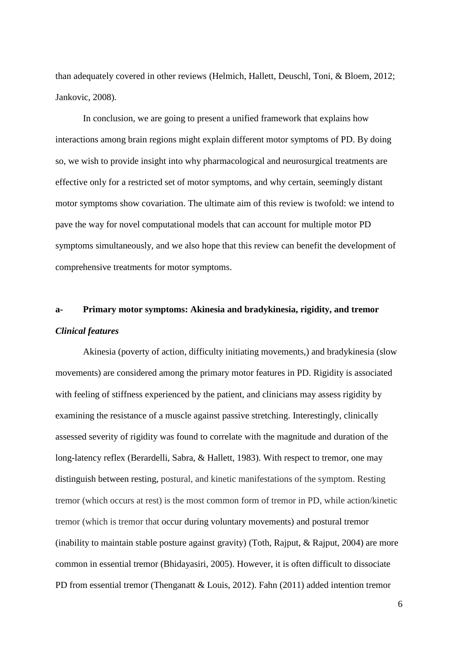than adequately covered in other reviews [\(Helmich, Hallett, Deuschl, Toni, & Bloem, 2012;](#page-37-3) [Jankovic, 2008\)](#page-38-2).

In conclusion, we are going to present a unified framework that explains how interactions among brain regions might explain different motor symptoms of PD. By doing so, we wish to provide insight into why pharmacological and neurosurgical treatments are effective only for a restricted set of motor symptoms, and why certain, seemingly distant motor symptoms show covariation. The ultimate aim of this review is twofold: we intend to pave the way for novel computational models that can account for multiple motor PD symptoms simultaneously, and we also hope that this review can benefit the development of comprehensive treatments for motor symptoms.

# **a- Primary motor symptoms: Akinesia and bradykinesia, rigidity, and tremor** *Clinical features*

Akinesia (poverty of action, difficulty initiating movements,) and bradykinesia (slow movements) are considered among the primary motor features in PD. Rigidity is associated with feeling of stiffness experienced by the patient, and clinicians may assess rigidity by examining the resistance of a muscle against passive stretching. Interestingly, clinically assessed severity of rigidity was found to correlate with the magnitude and duration of the long-latency reflex [\(Berardelli, Sabra, & Hallett, 1983\)](#page-34-0). With respect to tremor, one may distinguish between resting, postural, and kinetic manifestations of the symptom. Resting tremor (which occurs at rest) is the most common form of tremor in PD, while action/kinetic tremor (which is tremor that occur during voluntary movements) and postural tremor (inability to maintain stable posture against gravity) [\(Toth, Rajput, & Rajput, 2004\)](#page-45-1) are more common in essential tremor [\(Bhidayasiri, 2005\)](#page-35-3). However, it is often difficult to dissociate PD from essential tremor [\(Thenganatt & Louis, 2012\)](#page-44-1). Fahn [\(2011\)](#page-36-0) added intention tremor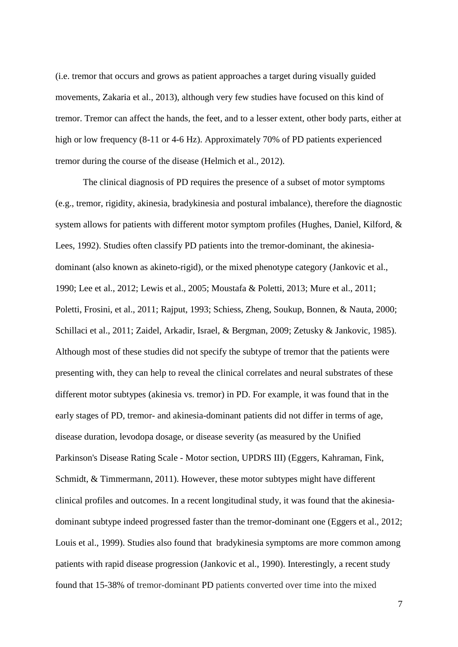[\(i.e. tremor that occurs and grows as patient approaches a target during visually guided](#page-46-2)  [movements, Zakaria et al., 2013\)](#page-46-2), although very few studies have focused on this kind of tremor. Tremor can affect the hands, the feet, and to a lesser extent, other body parts, either at high or low frequency (8-11 or 4-6 Hz). Approximately 70% of PD patients experienced tremor during the course of the disease [\(Helmich et al., 2012\)](#page-37-3).

The clinical diagnosis of PD requires the presence of a subset of motor symptoms (e.g., tremor, rigidity, akinesia, bradykinesia and postural imbalance), therefore the diagnostic system allows for patients with different motor symptom profiles [\(Hughes, Daniel, Kilford, &](#page-38-3)  [Lees, 1992\)](#page-38-3). Studies often classify PD patients into the tremor-dominant, the akinesiadominant (also known as akineto-rigid), or the mixed phenotype category [\(Jankovic et al.,](#page-38-4)  [1990;](#page-38-4) [Lee et al., 2012;](#page-39-1) [Lewis et al., 2005;](#page-40-1) [Moustafa & Poletti, 2013;](#page-40-2) [Mure et al., 2011;](#page-41-2) [Poletti, Frosini, et al., 2011;](#page-42-0) [Rajput, 1993;](#page-42-1) [Schiess, Zheng, Soukup, Bonnen, & Nauta, 2000;](#page-43-1) [Schillaci et al., 2011;](#page-43-2) [Zaidel, Arkadir, Israel, & Bergman, 2009;](#page-46-3) [Zetusky & Jankovic, 1985\)](#page-46-4). Although most of these studies did not specify the subtype of tremor that the patients were presenting with, they can help to reveal the clinical correlates and neural substrates of these different motor subtypes (akinesia vs. tremor) in PD. For example, it was found that in the early stages of PD, tremor- and akinesia-dominant patients did not differ in terms of age, disease duration, levodopa dosage, or disease severity (as measured by the Unified Parkinson's Disease Rating Scale - Motor section, UPDRS III) [\(Eggers, Kahraman, Fink,](#page-36-1)  [Schmidt, & Timmermann, 2011\)](#page-36-1). However, these motor subtypes might have different clinical profiles and outcomes. In a recent longitudinal study, it was found that the akinesiadominant subtype indeed progressed faster than the tremor-dominant one [\(Eggers et al., 2012;](#page-36-2) [Louis et al., 1999\)](#page-40-3). Studies also found that bradykinesia symptoms are more common among patients with rapid disease progression [\(Jankovic et al., 1990\)](#page-38-4). Interestingly, a recent study found that 15-38% of tremor-dominant PD patients converted over time into the mixed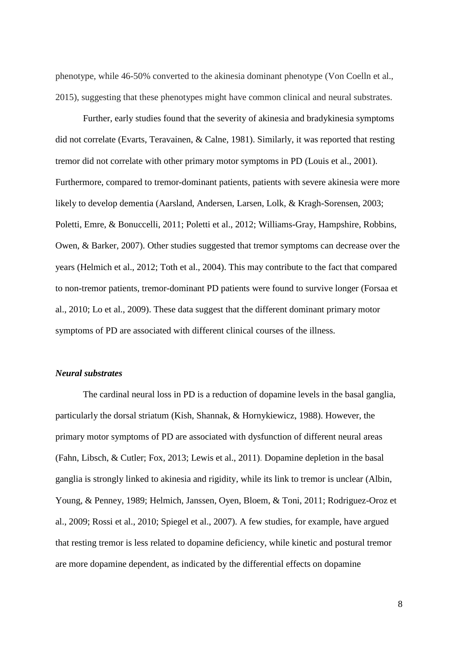phenotype, while 46-50% converted to the akinesia dominant phenotype [\(Von Coelln et al.,](#page-46-5)  [2015\)](#page-46-5), suggesting that these phenotypes might have common clinical and neural substrates.

Further, early studies found that the severity of akinesia and bradykinesia symptoms did not correlate [\(Evarts, Teravainen, & Calne, 1981\)](#page-36-3). Similarly, it was reported that resting tremor did not correlate with other primary motor symptoms in PD [\(Louis et al., 2001\)](#page-40-4). Furthermore, compared to tremor-dominant patients, patients with severe akinesia were more likely to develop dementia [\(Aarsland, Andersen, Larsen, Lolk, & Kragh-Sorensen, 2003;](#page-34-1) [Poletti, Emre, & Bonuccelli, 2011;](#page-41-3) [Poletti et al., 2012;](#page-41-4) [Williams-Gray, Hampshire, Robbins,](#page-46-6)  [Owen, & Barker, 2007\)](#page-46-6). Other studies suggested that tremor symptoms can decrease over the years [\(Helmich et al., 2012;](#page-37-3) [Toth et al., 2004\)](#page-45-1). This may contribute to the fact that compared to non-tremor patients, tremor-dominant PD patients were found to survive longer [\(Forsaa et](#page-37-4)  [al., 2010;](#page-37-4) [Lo et al., 2009\)](#page-40-5). These data suggest that the different dominant primary motor symptoms of PD are associated with different clinical courses of the illness.

## *Neural substrates*

The cardinal neural loss in PD is a reduction of dopamine levels in the basal ganglia, particularly the dorsal striatum [\(Kish, Shannak, & Hornykiewicz, 1988\)](#page-39-2). However, the primary motor symptoms of PD are associated with dysfunction of different neural areas [\(Fahn, Libsch, & Cutler;](#page-36-4) [Fox, 2013;](#page-37-0) [Lewis et al., 2011\)](#page-40-6). Dopamine depletion in the basal ganglia is strongly linked to akinesia and rigidity, while its link to tremor is unclear [\(Albin,](#page-34-2)  [Young, & Penney, 1989;](#page-34-2) [Helmich, Janssen, Oyen, Bloem, & Toni, 2011;](#page-38-5) [Rodriguez-Oroz et](#page-42-2)  [al., 2009;](#page-42-2) [Rossi et al., 2010;](#page-43-3) [Spiegel et al., 2007\)](#page-44-2). A few studies, for example, have argued that resting tremor is less related to dopamine deficiency, while kinetic and postural tremor are more dopamine dependent, as indicated by the differential effects on dopamine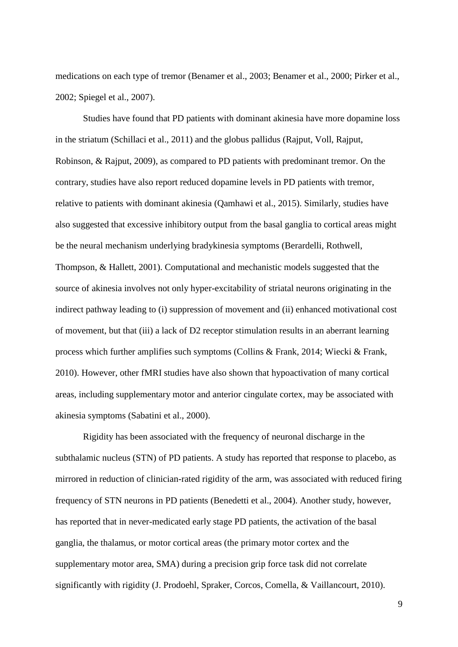medications on each type of tremor [\(Benamer et al., 2003;](#page-34-3) [Benamer et al., 2000;](#page-34-4) [Pirker et al.,](#page-41-5)  [2002;](#page-41-5) [Spiegel et al., 2007\)](#page-44-2).

Studies have found that PD patients with dominant akinesia have more dopamine loss in the striatum [\(Schillaci et al., 2011\)](#page-43-2) and the globus pallidus [\(Rajput, Voll, Rajput,](#page-42-3)  [Robinson, & Rajput, 2009\)](#page-42-3), as compared to PD patients with predominant tremor. On the contrary, studies have also report reduced dopamine levels in PD patients with tremor, relative to patients with dominant akinesia [\(Qamhawi et al., 2015\)](#page-42-4). Similarly, studies have also suggested that excessive inhibitory output from the basal ganglia to cortical areas might be the neural mechanism underlying bradykinesia symptoms [\(Berardelli, Rothwell,](#page-34-5)  [Thompson, & Hallett, 2001\)](#page-34-5). Computational and mechanistic models suggested that the source of akinesia involves not only hyper-excitability of striatal neurons originating in the indirect pathway leading to (i) suppression of movement and (ii) enhanced motivational cost of movement, but that (iii) a lack of D2 receptor stimulation results in an aberrant learning process which further amplifies such symptoms [\(Collins & Frank, 2014;](#page-35-4) [Wiecki & Frank,](#page-46-7) [2010\)](#page-46-7). However, other fMRI studies have also shown that hypoactivation of many cortical areas, including supplementary motor and anterior cingulate cortex, may be associated with akinesia symptoms [\(Sabatini et al., 2000\)](#page-43-4).

Rigidity has been associated with the frequency of neuronal discharge in the subthalamic nucleus (STN) of PD patients. A study has reported that response to placebo, as mirrored in reduction of clinician-rated rigidity of the arm, was associated with reduced firing frequency of STN neurons in PD patients [\(Benedetti et al., 2004\)](#page-34-6). Another study, however, has reported that in never-medicated early stage PD patients, the activation of the basal ganglia, the thalamus, or motor cortical areas (the primary motor cortex and the supplementary motor area, SMA) during a precision grip force task did not correlate significantly with rigidity [\(J. Prodoehl, Spraker, Corcos, Comella, & Vaillancourt, 2010\)](#page-42-5).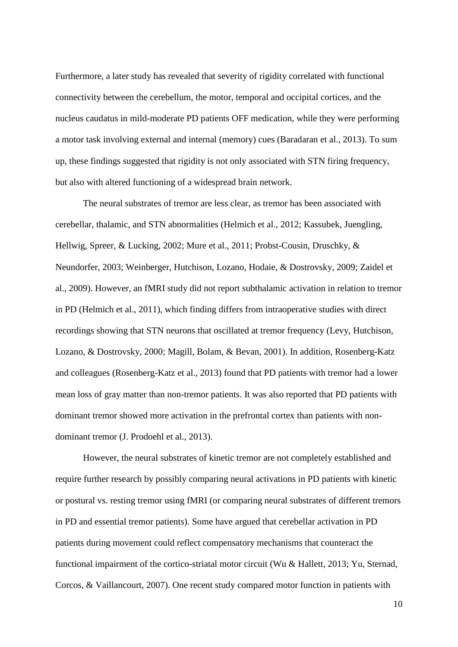Furthermore, a later study has revealed that severity of rigidity correlated with functional connectivity between the cerebellum, the motor, temporal and occipital cortices, and the nucleus caudatus in mild-moderate PD patients OFF medication, while they were performing a motor task involving external and internal (memory) cues [\(Baradaran et al., 2013\)](#page-34-7). To sum up, these findings suggested that rigidity is not only associated with STN firing frequency, but also with altered functioning of a widespread brain network.

The neural substrates of tremor are less clear, as tremor has been associated with cerebellar, thalamic, and STN abnormalities [\(Helmich et al., 2012;](#page-37-3) [Kassubek, Juengling,](#page-39-3)  [Hellwig, Spreer, & Lucking, 2002;](#page-39-3) [Mure et al., 2011;](#page-41-2) [Probst-Cousin, Druschky, &](#page-42-6)  [Neundorfer, 2003;](#page-42-6) [Weinberger, Hutchison, Lozano, Hodaie, & Dostrovsky, 2009;](#page-46-8) [Zaidel et](#page-46-3)  [al., 2009\)](#page-46-3). However, an fMRI study did not report subthalamic activation in relation to tremor in PD [\(Helmich et al., 2011\)](#page-38-5), which finding differs from intraoperative studies with direct recordings showing that STN neurons that oscillated at tremor frequency [\(Levy, Hutchison,](#page-39-4)  [Lozano, & Dostrovsky, 2000;](#page-39-4) [Magill, Bolam, & Bevan, 2001\)](#page-40-7). In addition, Rosenberg-Katz and colleagues [\(Rosenberg-Katz et al., 2013\)](#page-42-7) found that PD patients with tremor had a lower mean loss of gray matter than non-tremor patients. It was also reported that PD patients with dominant tremor showed more activation in the prefrontal cortex than patients with nondominant tremor [\(J. Prodoehl et al., 2013\)](#page-42-8).

However, the neural substrates of kinetic tremor are not completely established and require further research by possibly comparing neural activations in PD patients with kinetic or postural vs. resting tremor using fMRI (or comparing neural substrates of different tremors in PD and essential tremor patients). Some have argued that cerebellar activation in PD patients during movement could reflect compensatory mechanisms that counteract the functional impairment of the cortico-striatal motor circuit [\(Wu & Hallett, 2013;](#page-46-9) [Yu, Sternad,](#page-46-10)  [Corcos, & Vaillancourt, 2007\)](#page-46-10). One recent study compared motor function in patients with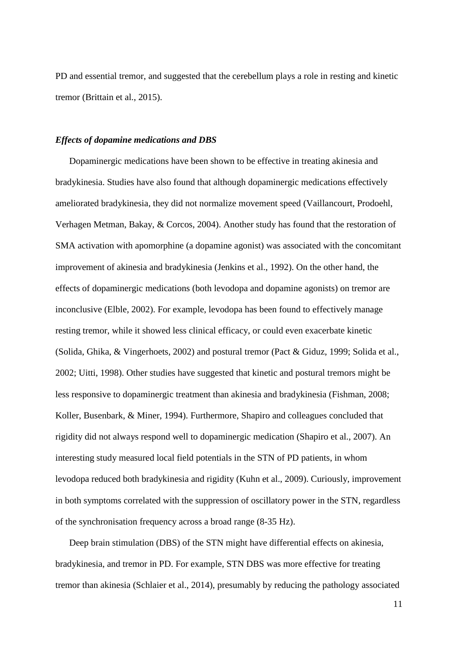PD and essential tremor, and suggested that the cerebellum plays a role in resting and kinetic tremor [\(Brittain et al., 2015\)](#page-35-5).

#### *Effects of dopamine medications and DBS*

Dopaminergic medications have been shown to be effective in treating akinesia and bradykinesia. Studies have also found that although dopaminergic medications effectively ameliorated bradykinesia, they did not normalize movement speed [\(Vaillancourt, Prodoehl,](#page-45-2)  [Verhagen Metman, Bakay, & Corcos, 2004\)](#page-45-2). Another study has found that the restoration of SMA activation with apomorphine (a dopamine agonist) was associated with the concomitant improvement of akinesia and bradykinesia [\(Jenkins et al., 1992\)](#page-38-6). On the other hand, the effects of dopaminergic medications (both levodopa and dopamine agonists) on tremor are inconclusive [\(Elble, 2002\)](#page-36-5). For example, levodopa has been found to effectively manage resting tremor, while it showed less clinical efficacy, or could even exacerbate kinetic [\(Solida, Ghika, & Vingerhoets, 2002\)](#page-44-3) and postural tremor [\(Pact & Giduz, 1999;](#page-41-6) [Solida et al.,](#page-44-3) [2002;](#page-44-3) [Uitti, 1998\)](#page-45-3). Other studies have suggested that kinetic and postural tremors might be less responsive to dopaminergic treatment than akinesia and bradykinesia [\(Fishman, 2008;](#page-37-5) [Koller, Busenbark, & Miner, 1994\)](#page-39-5). Furthermore, Shapiro and colleagues concluded that rigidity did not always respond well to dopaminergic medication [\(Shapiro et al., 2007\)](#page-43-5). An interesting study measured local field potentials in the STN of PD patients, in whom levodopa reduced both bradykinesia and rigidity [\(Kuhn et al., 2009\)](#page-39-6). Curiously, improvement in both symptoms correlated with the suppression of oscillatory power in the STN, regardless of the synchronisation frequency across a broad range (8-35 Hz).

Deep brain stimulation (DBS) of the STN might have differential effects on akinesia, bradykinesia, and tremor in PD. For example, STN DBS was more effective for treating tremor than akinesia [\(Schlaier et al., 2014\)](#page-43-6), presumably by reducing the pathology associated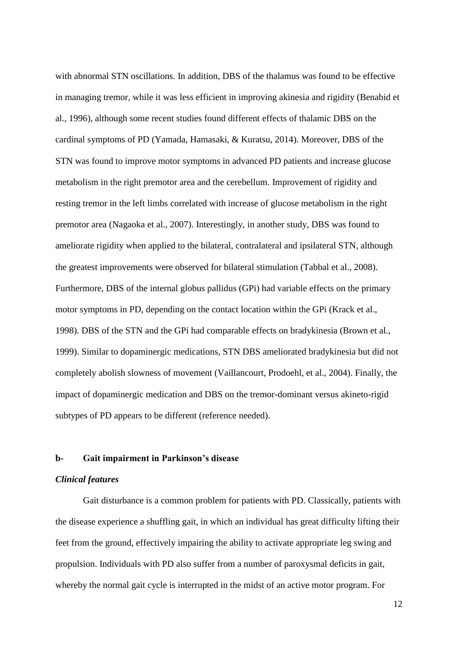with abnormal STN oscillations. In addition, DBS of the thalamus was found to be effective in managing tremor, while it was less efficient in improving akinesia and rigidity [\(Benabid et](#page-34-8)  [al., 1996\)](#page-34-8), although some recent studies found different effects of thalamic DBS on the cardinal symptoms of PD [\(Yamada, Hamasaki, & Kuratsu, 2014\)](#page-46-11). Moreover, DBS of the STN was found to improve motor symptoms in advanced PD patients and increase glucose metabolism in the right premotor area and the cerebellum. Improvement of rigidity and resting tremor in the left limbs correlated with increase of glucose metabolism in the right premotor area [\(Nagaoka et al., 2007\)](#page-41-7). Interestingly, in another study, DBS was found to ameliorate rigidity when applied to the bilateral, contralateral and ipsilateral STN, although the greatest improvements were observed for bilateral stimulation [\(Tabbal et al., 2008\)](#page-44-4). Furthermore, DBS of the internal globus pallidus (GPi) had variable effects on the primary motor symptoms in PD, depending on the contact location within the GPi [\(Krack et al.,](#page-39-7)  [1998\)](#page-39-7). DBS of the STN and the GPi had comparable effects on bradykinesia [\(Brown](#page-35-6) et al., [1999\)](#page-35-6). Similar to dopaminergic medications, STN DBS ameliorated bradykinesia but did not completely abolish slowness of movement [\(Vaillancourt, Prodoehl, et al., 2004\)](#page-45-2). Finally, the impact of dopaminergic medication and DBS on the tremor-dominant versus akineto-rigid subtypes of PD appears to be different (reference needed).

## **b- Gait impairment in Parkinson's disease**

## *Clinical features*

Gait disturbance is a common problem for patients with PD. Classically, patients with the disease experience a shuffling gait, in which an individual has great difficulty lifting their feet from the ground, effectively impairing the ability to activate appropriate leg swing and propulsion. Individuals with PD also suffer from a number of paroxysmal deficits in gait, whereby the normal gait cycle is interrupted in the midst of an active motor program. For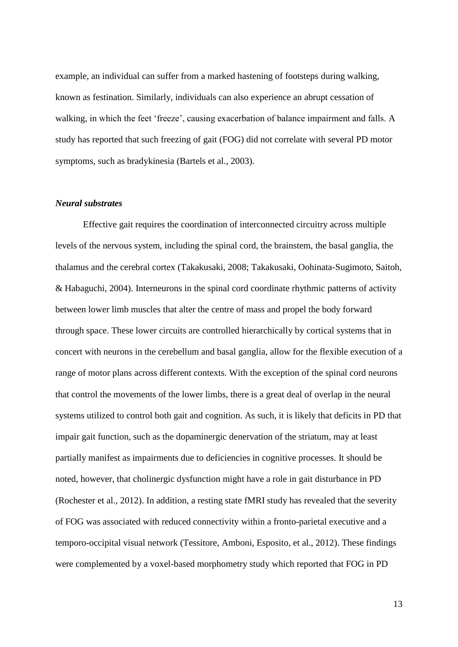example, an individual can suffer from a marked hastening of footsteps during walking, known as festination. Similarly, individuals can also experience an abrupt cessation of walking, in which the feet 'freeze', causing exacerbation of balance impairment and falls. A study has reported that such freezing of gait (FOG) did not correlate with several PD motor symptoms, such as bradykinesia [\(Bartels et al., 2003\)](#page-34-9).

### *Neural substrates*

Effective gait requires the coordination of interconnected circuitry across multiple levels of the nervous system, including the spinal cord, the brainstem, the basal ganglia, the thalamus and the cerebral cortex [\(Takakusaki, 2008;](#page-44-5) [Takakusaki, Oohinata-Sugimoto, Saitoh,](#page-44-6)  [& Habaguchi, 2004\)](#page-44-6). Interneurons in the spinal cord coordinate rhythmic patterns of activity between lower limb muscles that alter the centre of mass and propel the body forward through space. These lower circuits are controlled hierarchically by cortical systems that in concert with neurons in the cerebellum and basal ganglia, allow for the flexible execution of a range of motor plans across different contexts. With the exception of the spinal cord neurons that control the movements of the lower limbs, there is a great deal of overlap in the neural systems utilized to control both gait and cognition. As such, it is likely that deficits in PD that impair gait function, such as the dopaminergic denervation of the striatum, may at least partially manifest as impairments due to deficiencies in cognitive processes. It should be noted, however, that cholinergic dysfunction might have a role in gait disturbance in PD [\(Rochester et al., 2012\)](#page-42-9). In addition, a resting state fMRI study has revealed that the severity of FOG was associated with reduced connectivity within a fronto-parietal executive and a temporo-occipital visual network [\(Tessitore, Amboni, Esposito, et al., 2012\)](#page-44-7). These findings were complemented by a voxel-based morphometry study which reported that FOG in PD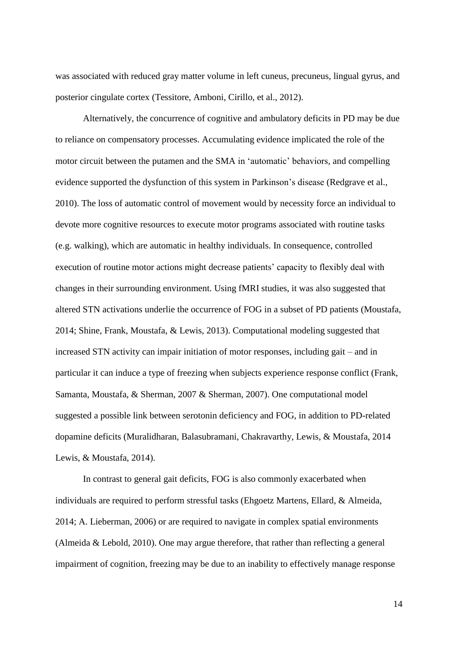was associated with reduced gray matter volume in left cuneus, precuneus, lingual gyrus, and posterior cingulate cortex [\(Tessitore, Amboni, Cirillo, et al., 2012\)](#page-44-8).

Alternatively, the concurrence of cognitive and ambulatory deficits in PD may be due to reliance on compensatory processes. Accumulating evidence implicated the role of the motor circuit between the putamen and the SMA in 'automatic' behaviors, and compelling evidence supported the dysfunction of this system in Parkinson's disease [\(Redgrave et al.,](#page-42-10)  [2010\)](#page-42-10). The loss of automatic control of movement would by necessity force an individual to devote more cognitive resources to execute motor programs associated with routine tasks (e.g. walking), which are automatic in healthy individuals. In consequence, controlled execution of routine motor actions might decrease patients' capacity to flexibly deal with changes in their surrounding environment. Using fMRI studies, it was also suggested that altered STN activations underlie the occurrence of FOG in a subset of PD patients [\(Moustafa,](#page-40-8)  [2014;](#page-40-8) [Shine, Frank, Moustafa, & Lewis, 2013\)](#page-43-7). Computational modeling suggested that increased STN activity can impair initiation of motor responses, including gait – and in particular it can induce a type of freezing when subjects experience response conflict [\(Frank,](#page-37-6)  [Samanta, Moustafa, & Sherman, 2007 & Sherman, 2007\)](#page-37-6). One computational model suggested a possible link between serotonin deficiency and FOG, in addition to PD-related dopamine deficits [\(Muralidharan, Balasubramani, Chakravarthy, Lewis, & Moustafa, 2014](#page-41-8)  [Lewis, & Moustafa, 2014\)](#page-41-8).

In contrast to general gait deficits, FOG is also commonly exacerbated when individuals are required to perform stressful tasks [\(Ehgoetz Martens, Ellard, & Almeida,](#page-36-6)  [2014;](#page-36-6) [A. Lieberman, 2006\)](#page-40-9) or are required to navigate in complex spatial environments [\(Almeida & Lebold, 2010\)](#page-34-10). One may argue therefore, that rather than reflecting a general impairment of cognition, freezing may be due to an inability to effectively manage response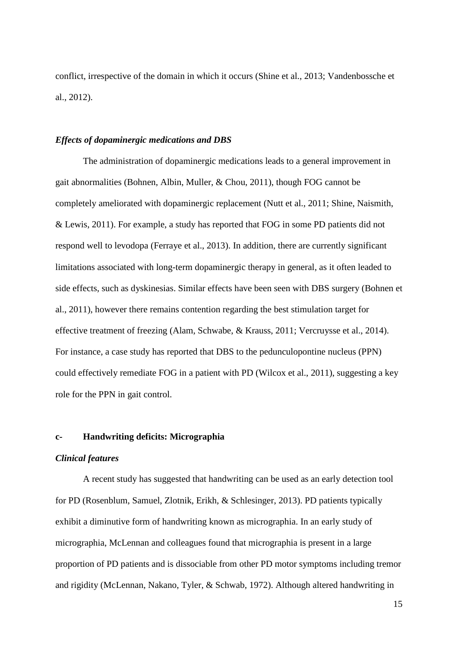conflict, irrespective of the domain in which it occurs [\(Shine et al., 2013;](#page-43-7) [Vandenbossche et](#page-45-4)  [al., 2012\)](#page-45-4).

#### *Effects of dopaminergic medications and DBS*

The administration of dopaminergic medications leads to a general improvement in gait abnormalities [\(Bohnen, Albin, Muller, & Chou, 2011\)](#page-35-7), though FOG cannot be completely ameliorated with dopaminergic replacement [\(Nutt et al., 2011;](#page-41-0) [Shine, Naismith,](#page-43-8)  [& Lewis, 2011\)](#page-43-8). For example, a study has reported that FOG in some PD patients did not respond well to levodopa [\(Ferraye et al., 2013\)](#page-37-7). In addition, there are currently significant limitations associated with long-term dopaminergic therapy in general, as it often leaded to side effects, such as dyskinesias. Similar effects have been seen with DBS surgery [\(Bohnen et](#page-35-7)  [al., 2011\)](#page-35-7), however there remains contention regarding the best stimulation target for effective treatment of freezing [\(Alam, Schwabe, & Krauss, 2011;](#page-34-11) [Vercruysse et al., 2014\)](#page-45-5). For instance, a case study has reported that DBS to the pedunculopontine nucleus (PPN) could effectively remediate FOG in a patient with PD [\(Wilcox et al., 2011\)](#page-46-12), suggesting a key role for the PPN in gait control.

## **c- Handwriting deficits: Micrographia**

## *Clinical features*

A recent study has suggested that handwriting can be used as an early detection tool for PD [\(Rosenblum, Samuel, Zlotnik, Erikh, & Schlesinger, 2013\)](#page-42-11). PD patients typically exhibit a diminutive form of handwriting known as micrographia. In an early study of micrographia, McLennan and colleagues found that micrographia is present in a large proportion of PD patients and is dissociable from other PD motor symptoms including tremor and rigidity [\(McLennan, Nakano, Tyler, & Schwab, 1972\)](#page-40-10). Although altered handwriting in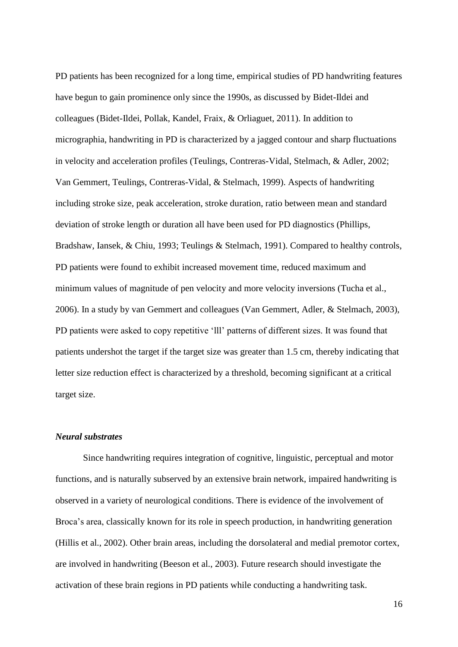PD patients has been recognized for a long time, empirical studies of PD handwriting features have begun to gain prominence only since the 1990s, as discussed by Bidet-Ildei and colleagues [\(Bidet-Ildei, Pollak, Kandel, Fraix, & Orliaguet, 2011\)](#page-35-8). In addition to micrographia, handwriting in PD is characterized by a jagged contour and sharp fluctuations in velocity and acceleration profiles [\(Teulings, Contreras-Vidal, Stelmach, & Adler, 2002;](#page-44-9) [Van Gemmert, Teulings, Contreras-Vidal, & Stelmach, 1999\)](#page-45-6). Aspects of handwriting including stroke size, peak acceleration, stroke duration, ratio between mean and standard deviation of stroke length or duration all have been used for PD diagnostics [\(Phillips,](#page-41-9)  [Bradshaw, Iansek, & Chiu, 1993;](#page-41-9) [Teulings & Stelmach, 1991\)](#page-44-10). Compared to healthy controls, PD patients were found to exhibit increased movement time, reduced maximum and minimum values of magnitude of pen velocity and more velocity inversions [\(Tucha et al.,](#page-45-7)  [2006\)](#page-45-7). In a study by van Gemmert and colleagues [\(Van Gemmert, Adler, & Stelmach, 2003\)](#page-45-8), PD patients were asked to copy repetitive 'lll' patterns of different sizes. It was found that patients undershot the target if the target size was greater than 1.5 cm, thereby indicating that letter size reduction effect is characterized by a threshold, becoming significant at a critical target size.

## *Neural substrates*

Since handwriting requires integration of cognitive, linguistic, perceptual and motor functions, and is naturally subserved by an extensive brain network, impaired handwriting is observed in a variety of neurological conditions. There is evidence of the involvement of Broca's area, classically known for its role in speech production, in handwriting generation [\(Hillis et al., 2002\)](#page-38-7). Other brain areas, including the dorsolateral and medial premotor cortex, are involved in handwriting [\(Beeson et al., 2003\)](#page-34-12). Future research should investigate the activation of these brain regions in PD patients while conducting a handwriting task.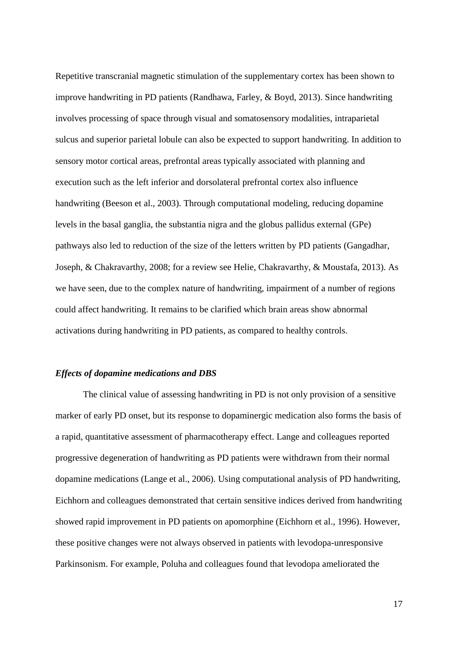Repetitive transcranial magnetic stimulation of the supplementary cortex has been shown to improve handwriting in PD patients [\(Randhawa, Farley, & Boyd, 2013\)](#page-42-12). Since handwriting involves processing of space through visual and somatosensory modalities, intraparietal sulcus and superior parietal lobule can also be expected to support handwriting. In addition to sensory motor cortical areas, prefrontal areas typically associated with planning and execution such as the left inferior and dorsolateral prefrontal cortex also influence handwriting [\(Beeson et al., 2003\)](#page-34-12). Through computational modeling, reducing dopamine levels in the basal ganglia, the substantia nigra and the globus pallidus external (GPe) pathways also led to reduction of the size of the letters written by PD patients [\(Gangadhar,](#page-37-8)  [Joseph, & Chakravarthy, 2008;](#page-37-8) [for a review see Helie, Chakravarthy, & Moustafa, 2013\)](#page-37-9). As we have seen, due to the complex nature of handwriting, impairment of a number of regions could affect handwriting. It remains to be clarified which brain areas show abnormal activations during handwriting in PD patients, as compared to healthy controls.

## *Effects of dopamine medications and DBS*

The clinical value of assessing handwriting in PD is not only provision of a sensitive marker of early PD onset, but its response to dopaminergic medication also forms the basis of a rapid, quantitative assessment of pharmacotherapy effect. Lange and colleagues reported progressive degeneration of handwriting as PD patients were withdrawn from their normal dopamine medications [\(Lange et al., 2006\)](#page-39-8). Using computational analysis of PD handwriting, Eichhorn and colleagues demonstrated that certain sensitive indices derived from handwriting showed rapid improvement in PD patients on apomorphine [\(Eichhorn et al., 1996\)](#page-36-7). However, these positive changes were not always observed in patients with levodopa-unresponsive Parkinsonism. For example, Poluha and colleagues found that levodopa ameliorated the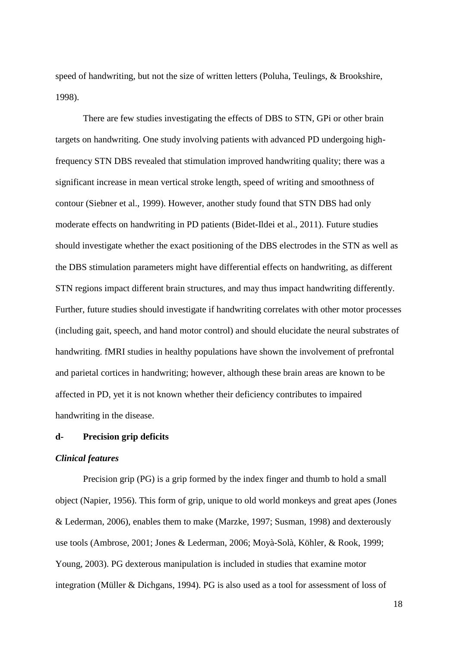speed of handwriting, but not the size of written letters [\(Poluha, Teulings, & Brookshire,](#page-42-13)  [1998\)](#page-42-13).

There are few studies investigating the effects of DBS to STN, GPi or other brain targets on handwriting. One study involving patients with advanced PD undergoing highfrequency STN DBS revealed that stimulation improved handwriting quality; there was a significant increase in mean vertical stroke length, speed of writing and smoothness of contour [\(Siebner et al., 1999\)](#page-43-9). However, another study found that STN DBS had only moderate effects on handwriting in PD patients [\(Bidet-Ildei et al., 2011\)](#page-35-8). Future studies should investigate whether the exact positioning of the DBS electrodes in the STN as well as the DBS stimulation parameters might have differential effects on handwriting, as different STN regions impact different brain structures, and may thus impact handwriting differently. Further, future studies should investigate if handwriting correlates with other motor processes (including gait, speech, and hand motor control) and should elucidate the neural substrates of handwriting. fMRI studies in healthy populations have shown the involvement of prefrontal and parietal cortices in handwriting; however, although these brain areas are known to be affected in PD, yet it is not known whether their deficiency contributes to impaired handwriting in the disease.

# **d- Precision grip deficits**

## *Clinical features*

Precision grip (PG) is a grip formed by the index finger and thumb to hold a small object [\(Napier, 1956\)](#page-41-10). This form of grip, unique to old world monkeys and great apes [\(Jones](#page-38-8)  [& Lederman, 2006\)](#page-38-8), enables them to make [\(Marzke, 1997;](#page-40-11) [Susman, 1998\)](#page-44-11) and dexterously use tools [\(Ambrose, 2001;](#page-34-13) [Jones & Lederman, 2006;](#page-38-8) [Moyà-Solà, Köhler, & Rook, 1999;](#page-40-12) [Young, 2003\)](#page-46-13). PG dexterous manipulation is included in studies that examine motor integration [\(Müller & Dichgans, 1994\)](#page-40-13). PG is also used as a tool for assessment of loss of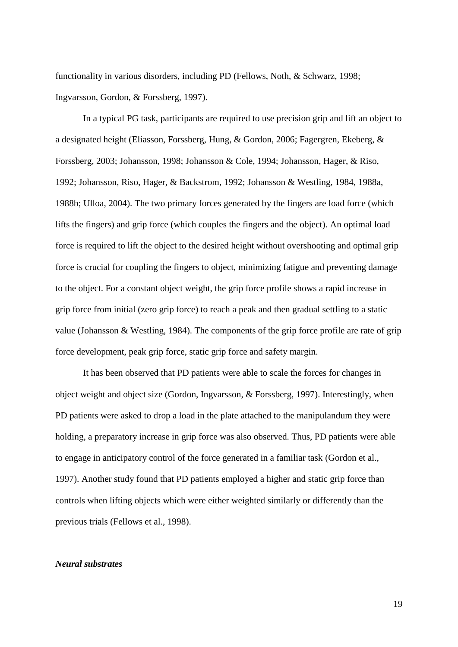functionality in various disorders, including PD [\(Fellows, Noth, & Schwarz, 1998;](#page-36-8) [Ingvarsson, Gordon, & Forssberg, 1997\)](#page-38-9).

In a typical PG task, participants are required to use precision grip and lift an object to a designated height [\(Eliasson, Forssberg, Hung, & Gordon, 2006;](#page-36-9) [Fagergren, Ekeberg, &](#page-36-10)  [Forssberg, 2003;](#page-36-10) [Johansson, 1998;](#page-38-10) [Johansson & Cole, 1994;](#page-38-11) [Johansson, Hager, & Riso,](#page-38-12)  [1992;](#page-38-12) [Johansson, Riso, Hager, & Backstrom, 1992;](#page-38-13) [Johansson & Westling, 1984,](#page-38-14) [1988a,](#page-38-15) [1988b;](#page-38-16) [Ulloa, 2004\)](#page-45-9). The two primary forces generated by the fingers are load force (which lifts the fingers) and grip force (which couples the fingers and the object). An optimal load force is required to lift the object to the desired height without overshooting and optimal grip force is crucial for coupling the fingers to object, minimizing fatigue and preventing damage to the object. For a constant object weight, the grip force profile shows a rapid increase in grip force from initial (zero grip force) to reach a peak and then gradual settling to a static value [\(Johansson & Westling, 1984\)](#page-38-14). The components of the grip force profile are rate of grip force development, peak grip force, static grip force and safety margin.

It has been observed that PD patients were able to scale the forces for changes in object weight and object size [\(Gordon, Ingvarsson, & Forssberg, 1997\)](#page-37-10). Interestingly, when PD patients were asked to drop a load in the plate attached to the manipulandum they were holding, a preparatory increase in grip force was also observed. Thus, PD patients were able to engage in anticipatory control of the force generated in a familiar task [\(Gordon et al.,](#page-37-10)  [1997\)](#page-37-10). Another study found that PD patients employed a higher and static grip force than controls when lifting objects which were either weighted similarly or differently than the previous trials [\(Fellows et al., 1998\)](#page-36-8).

#### *Neural substrates*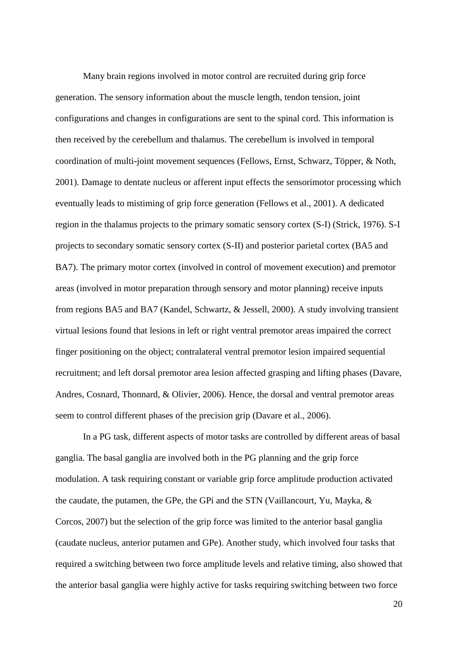Many brain regions involved in motor control are recruited during grip force generation. The sensory information about the muscle length, tendon tension, joint configurations and changes in configurations are sent to the spinal cord. This information is then received by the cerebellum and thalamus. The cerebellum is involved in temporal coordination of multi-joint movement sequences [\(Fellows, Ernst, Schwarz, Töpper, & Noth,](#page-36-11)  [2001\)](#page-36-11). Damage to dentate nucleus or afferent input effects the sensorimotor processing which eventually leads to mistiming of grip force generation [\(Fellows et al., 2001\)](#page-36-11). A dedicated region in the thalamus projects to the primary somatic sensory cortex (S-I) [\(Strick, 1976\)](#page-44-12). S-I projects to secondary somatic sensory cortex (S-II) and posterior parietal cortex (BA5 and BA7). The primary motor cortex (involved in control of movement execution) and premotor areas (involved in motor preparation through sensory and motor planning) receive inputs from regions BA5 and BA7 [\(Kandel, Schwartz, & Jessell, 2000\)](#page-38-17). A study involving transient virtual lesions found that lesions in left or right ventral premotor areas impaired the correct finger positioning on the object; contralateral ventral premotor lesion impaired sequential recruitment; and left dorsal premotor area lesion affected grasping and lifting phases [\(Davare,](#page-36-12)  [Andres, Cosnard, Thonnard, & Olivier, 2006\)](#page-36-12). Hence, the dorsal and ventral premotor areas seem to control different phases of the precision grip [\(Davare et al., 2006\)](#page-36-12).

In a PG task, different aspects of motor tasks are controlled by different areas of basal ganglia. The basal ganglia are involved both in the PG planning and the grip force modulation. A task requiring constant or variable grip force amplitude production activated the caudate, the putamen, the GPe, the GPi and the STN [\(Vaillancourt, Yu, Mayka, &](#page-45-10)  [Corcos, 2007\)](#page-45-10) but the selection of the grip force was limited to the anterior basal ganglia (caudate nucleus, anterior putamen and GPe). Another study, which involved four tasks that required a switching between two force amplitude levels and relative timing, also showed that the anterior basal ganglia were highly active for tasks requiring switching between two force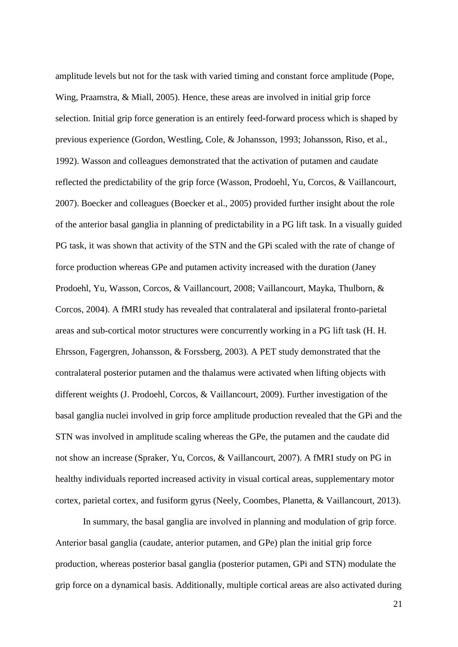amplitude levels but not for the task with varied timing and constant force amplitude [\(Pope,](#page-42-14)  [Wing, Praamstra, & Miall, 2005\)](#page-42-14). Hence, these areas are involved in initial grip force selection. Initial grip force generation is an entirely feed-forward process which is shaped by previous experience [\(Gordon, Westling, Cole, & Johansson, 1993;](#page-37-11) [Johansson, Riso, et al.,](#page-38-13)  [1992\)](#page-38-13). Wasson and colleagues demonstrated that the activation of putamen and caudate reflected the predictability of the grip force [\(Wasson, Prodoehl, Yu, Corcos, & Vaillancourt,](#page-46-14)  [2007\)](#page-46-14). Boecker and colleagues [\(Boecker et al., 2005\)](#page-35-9) provided further insight about the role of the anterior basal ganglia in planning of predictability in a PG lift task. In a visually guided PG task, it was shown that activity of the STN and the GPi scaled with the rate of change of force production whereas GPe and putamen activity increased with the duration [\(Janey](#page-42-15)  [Prodoehl, Yu, Wasson, Corcos, & Vaillancourt, 2008;](#page-42-15) [Vaillancourt, Mayka, Thulborn, &](#page-45-11)  [Corcos, 2004\)](#page-45-11). A fMRI study has revealed that contralateral and ipsilateral fronto-parietal areas and sub-cortical motor structures were concurrently working in a PG lift task [\(H. H.](#page-36-13)  [Ehrsson, Fagergren, Johansson, & Forssberg, 2003\)](#page-36-13). A PET study demonstrated that the contralateral posterior putamen and the thalamus were activated when lifting objects with different weights [\(J. Prodoehl, Corcos, & Vaillancourt, 2009\)](#page-42-16). Further investigation of the basal ganglia nuclei involved in grip force amplitude production revealed that the GPi and the STN was involved in amplitude scaling whereas the GPe, the putamen and the caudate did not show an increase [\(Spraker, Yu, Corcos, & Vaillancourt, 2007\)](#page-44-13). A fMRI study on PG in healthy individuals reported increased activity in visual cortical areas, supplementary motor cortex, parietal cortex, and fusiform gyrus [\(Neely, Coombes, Planetta, & Vaillancourt, 2013\)](#page-41-11).

In summary, the basal ganglia are involved in planning and modulation of grip force. Anterior basal ganglia (caudate, anterior putamen, and GPe) plan the initial grip force production, whereas posterior basal ganglia (posterior putamen, GPi and STN) modulate the grip force on a dynamical basis. Additionally, multiple cortical areas are also activated during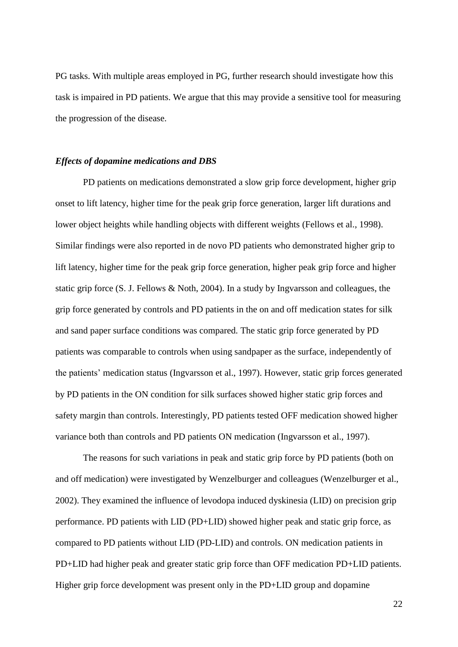PG tasks. With multiple areas employed in PG, further research should investigate how this task is impaired in PD patients. We argue that this may provide a sensitive tool for measuring the progression of the disease.

## *Effects of dopamine medications and DBS*

PD patients on medications demonstrated a slow grip force development, higher grip onset to lift latency, higher time for the peak grip force generation, larger lift durations and lower object heights while handling objects with different weights [\(Fellows et al., 1998\)](#page-36-8). Similar findings were also reported in de novo PD patients who demonstrated higher grip to lift latency, higher time for the peak grip force generation, higher peak grip force and higher static grip force [\(S. J. Fellows & Noth, 2004\)](#page-36-14). In a study by Ingvarsson and colleagues, the grip force generated by controls and PD patients in the on and off medication states for silk and sand paper surface conditions was compared. The static grip force generated by PD patients was comparable to controls when using sandpaper as the surface, independently of the patients' medication status [\(Ingvarsson et al., 1997\)](#page-38-9). However, static grip forces generated by PD patients in the ON condition for silk surfaces showed higher static grip forces and safety margin than controls. Interestingly, PD patients tested OFF medication showed higher variance both than controls and PD patients ON medication [\(Ingvarsson et al., 1997\)](#page-38-9).

The reasons for such variations in peak and static grip force by PD patients (both on and off medication) were investigated by Wenzelburger and colleagues [\(Wenzelburger et al.,](#page-46-15)  [2002\)](#page-46-15). They examined the influence of levodopa induced dyskinesia (LID) on precision grip performance. PD patients with LID (PD+LID) showed higher peak and static grip force, as compared to PD patients without LID (PD-LID) and controls. ON medication patients in PD+LID had higher peak and greater static grip force than OFF medication PD+LID patients. Higher grip force development was present only in the PD+LID group and dopamine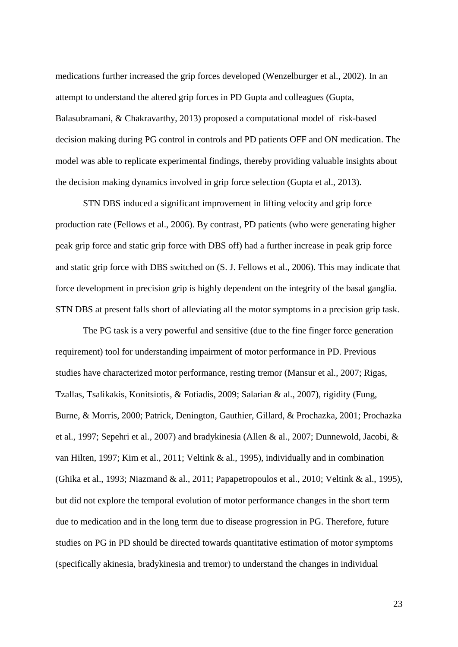medications further increased the grip forces developed [\(Wenzelburger et al., 2002\)](#page-46-15). In an attempt to understand the altered grip forces in PD Gupta and colleagues [\(Gupta,](#page-37-12)  [Balasubramani, & Chakravarthy, 2013\)](#page-37-12) proposed a computational model of risk-based decision making during PG control in controls and PD patients OFF and ON medication. The model was able to replicate experimental findings, thereby providing valuable insights about the decision making dynamics involved in grip force selection [\(Gupta et al., 2013\)](#page-37-12).

STN DBS induced a significant improvement in lifting velocity and grip force production rate (Fellows et al., 2006). By contrast, PD patients (who were generating higher peak grip force and static grip force with DBS off) had a further increase in peak grip force and static grip force with DBS switched on [\(S. J. Fellows et al., 2006\)](#page-36-15). This may indicate that force development in precision grip is highly dependent on the integrity of the basal ganglia. STN DBS at present falls short of alleviating all the motor symptoms in a precision grip task.

The PG task is a very powerful and sensitive (due to the fine finger force generation requirement) tool for understanding impairment of motor performance in PD. Previous studies have characterized motor performance, resting tremor [\(Mansur et al., 2007;](#page-40-14) [Rigas,](#page-42-17)  [Tzallas, Tsalikakis, Konitsiotis, & Fotiadis, 2009;](#page-42-17) [Salarian & al., 2007\)](#page-43-10), rigidity [\(Fung,](#page-37-13)  [Burne, & Morris, 2000;](#page-37-13) [Patrick, Denington, Gauthier, Gillard, & Prochazka, 2001;](#page-41-12) [Prochazka](#page-42-18)  [et al., 1997;](#page-42-18) [Sepehri et al., 2007\)](#page-43-11) and bradykinesia [\(Allen & al., 2007;](#page-34-14) [Dunnewold, Jacobi, &](#page-36-16)  [van Hilten, 1997;](#page-36-16) [Kim et al., 2011;](#page-39-9) [Veltink & al., 1995\)](#page-45-12), individually and in combination [\(Ghika et al., 1993;](#page-37-14) [Niazmand & al., 2011;](#page-41-13) [Papapetropoulos et al., 2010;](#page-41-14) [Veltink & al., 1995\)](#page-45-12), but did not explore the temporal evolution of motor performance changes in the short term due to medication and in the long term due to disease progression in PG. Therefore, future studies on PG in PD should be directed towards quantitative estimation of motor symptoms (specifically akinesia, bradykinesia and tremor) to understand the changes in individual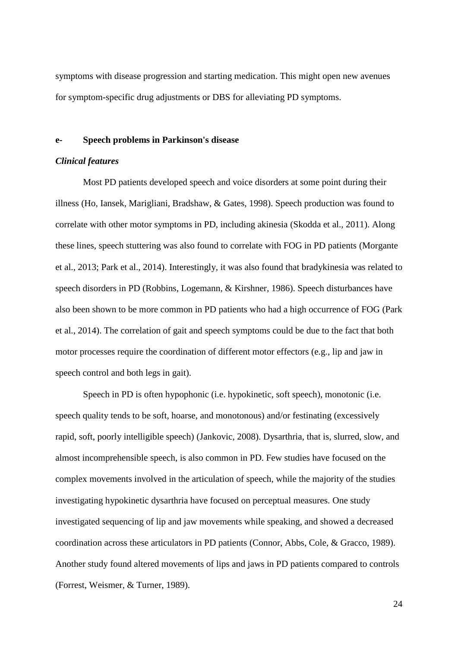symptoms with disease progression and starting medication. This might open new avenues for symptom-specific drug adjustments or DBS for alleviating PD symptoms.

#### **e- Speech problems in Parkinson's disease**

## *Clinical features*

Most PD patients developed speech and voice disorders at some point during their illness [\(Ho, Iansek, Marigliani, Bradshaw, & Gates, 1998\)](#page-38-18). Speech production was found to correlate with other motor symptoms in PD, including akinesia [\(Skodda et al., 2011\)](#page-44-0). Along these lines, speech stuttering was also found to correlate with FOG in PD patients [\(Morgante](#page-40-15)  [et al., 2013;](#page-40-15) [Park et al., 2014\)](#page-41-15). Interestingly, it was also found that bradykinesia was related to speech disorders in PD [\(Robbins, Logemann, & Kirshner, 1986\)](#page-42-19). Speech disturbances have also been shown to be more common in PD patients who had a high occurrence of FOG [\(Park](#page-41-15)  [et al., 2014\)](#page-41-15). The correlation of gait and speech symptoms could be due to the fact that both motor processes require the coordination of different motor effectors (e.g., lip and jaw in speech control and both legs in gait).

Speech in PD is often hypophonic (i.e. hypokinetic, soft speech), monotonic (i.e. speech quality tends to be soft, hoarse, and monotonous) and/or festinating (excessively rapid, soft, poorly intelligible speech) [\(Jankovic, 2008\)](#page-38-2). Dysarthria, that is, slurred, slow, and almost incomprehensible speech, is also common in PD. Few studies have focused on the complex movements involved in the articulation of speech, while the majority of the studies investigating hypokinetic dysarthria have focused on perceptual measures. One study investigated sequencing of lip and jaw movements while speaking, and showed a decreased coordination across these articulators in PD patients [\(Connor, Abbs, Cole, & Gracco, 1989\)](#page-35-10). Another study found altered movements of lips and jaws in PD patients compared to controls [\(Forrest, Weismer, & Turner, 1989\)](#page-37-15).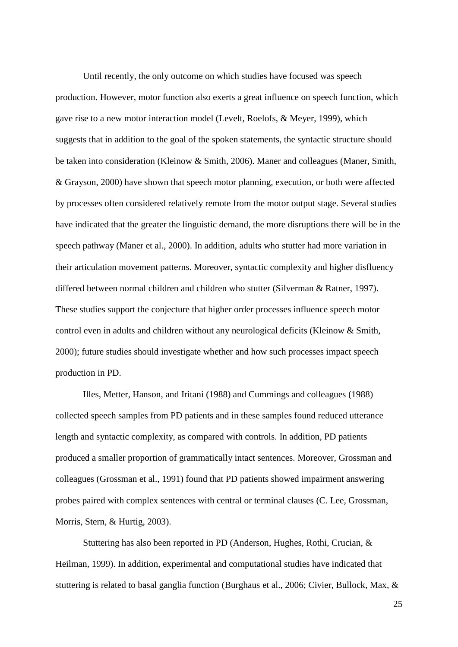Until recently, the only outcome on which studies have focused was speech production. However, motor function also exerts a great influence on speech function, which gave rise to a new motor interaction model [\(Levelt, Roelofs, & Meyer, 1999\)](#page-39-10), which suggests that in addition to the goal of the spoken statements, the syntactic structure should be taken into consideration [\(Kleinow & Smith, 2006\)](#page-39-11). Maner and colleagues [\(Maner, Smith,](#page-40-16)  [& Grayson, 2000\)](#page-40-16) have shown that speech motor planning, execution, or both were affected by processes often considered relatively remote from the motor output stage. Several studies have indicated that the greater the linguistic demand, the more disruptions there will be in the speech pathway (Maner et al., 2000). In addition, adults who stutter had more variation in their articulation movement patterns. Moreover, syntactic complexity and higher disfluency differed between normal children and children who stutter [\(Silverman & Ratner, 1997\)](#page-44-14). These studies support the conjecture that higher order processes influence speech motor control even in adults and children without any neurological deficits [\(Kleinow & Smith,](#page-39-12)  [2000\)](#page-39-12); future studies should investigate whether and how such processes impact speech production in PD.

Illes, Metter, Hanson, and Iritani [\(1988\)](#page-38-19) and Cummings and colleagues [\(1988\)](#page-35-11) collected speech samples from PD patients and in these samples found reduced utterance length and syntactic complexity, as compared with controls. In addition, PD patients produced a smaller proportion of grammatically intact sentences. Moreover, Grossman and colleagues [\(Grossman et al., 1991\)](#page-37-16) found that PD patients showed impairment answering probes paired with complex sentences with central or terminal clauses [\(C. Lee, Grossman,](#page-39-13)  [Morris, Stern, & Hurtig, 2003\)](#page-39-13).

Stuttering has also been reported in PD [\(Anderson, Hughes, Rothi, Crucian, &](#page-34-15)  [Heilman, 1999\)](#page-34-15). In addition, experimental and computational studies have indicated that stuttering is related to basal ganglia function [\(Burghaus et al., 2006;](#page-35-12) [Civier, Bullock, Max, &](#page-35-13)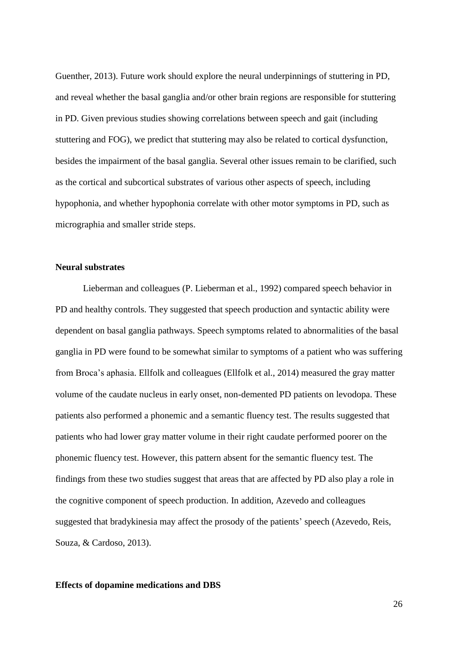[Guenther, 2013\)](#page-35-13). Future work should explore the neural underpinnings of stuttering in PD, and reveal whether the basal ganglia and/or other brain regions are responsible for stuttering in PD. Given previous studies showing correlations between speech and gait (including stuttering and FOG), we predict that stuttering may also be related to cortical dysfunction, besides the impairment of the basal ganglia. Several other issues remain to be clarified, such as the cortical and subcortical substrates of various other aspects of speech, including hypophonia, and whether hypophonia correlate with other motor symptoms in PD, such as micrographia and smaller stride steps.

# **Neural substrates**

Lieberman and colleagues [\(P. Lieberman et al., 1992\)](#page-40-17) compared speech behavior in PD and healthy controls. They suggested that speech production and syntactic ability were dependent on basal ganglia pathways. Speech symptoms related to abnormalities of the basal ganglia in PD were found to be somewhat similar to symptoms of a patient who was suffering from Broca's aphasia. Ellfolk and colleagues [\(Ellfolk et al., 2014\)](#page-36-17) measured the gray matter volume of the caudate nucleus in early onset, non-demented PD patients on levodopa. These patients also performed a phonemic and a semantic fluency test. The results suggested that patients who had lower gray matter volume in their right caudate performed poorer on the phonemic fluency test. However, this pattern absent for the semantic fluency test. The findings from these two studies suggest that areas that are affected by PD also play a role in the cognitive component of speech production. In addition, Azevedo and colleagues suggested that bradykinesia may affect the prosody of the patients' speech [\(Azevedo, Reis,](#page-34-16)  [Souza, & Cardoso, 2013\)](#page-34-16).

#### **Effects of dopamine medications and DBS**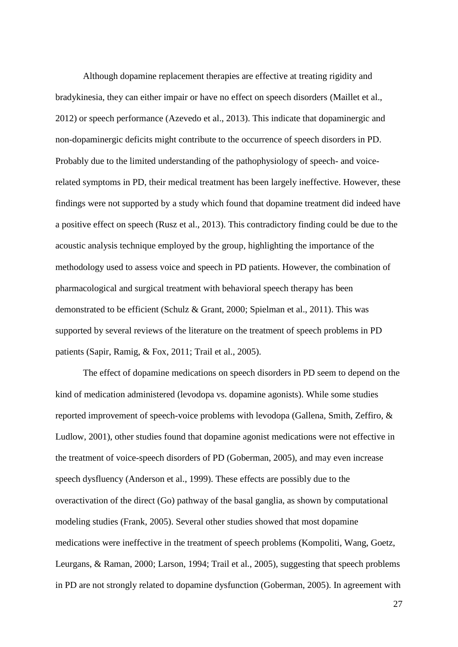Although dopamine replacement therapies are effective at treating rigidity and bradykinesia, they can either impair or have no effect on speech disorders [\(Maillet et al.,](#page-40-18)  [2012\)](#page-40-18) or speech performance [\(Azevedo et al., 2013\)](#page-34-16). This indicate that dopaminergic and non-dopaminergic deficits might contribute to the occurrence of speech disorders in PD. Probably due to the limited understanding of the pathophysiology of speech- and voicerelated symptoms in PD, their medical treatment has been largely ineffective. However, these findings were not supported by a study which found that dopamine treatment did indeed have a positive effect on speech [\(Rusz et al., 2013\)](#page-43-12). This contradictory finding could be due to the acoustic analysis technique employed by the group, highlighting the importance of the methodology used to assess voice and speech in PD patients. However, the combination of pharmacological and surgical treatment with behavioral speech therapy has been demonstrated to be efficient [\(Schulz & Grant, 2000;](#page-43-13) [Spielman et al., 2011\)](#page-44-15). This was supported by several reviews of the literature on the treatment of speech problems in PD patients [\(Sapir, Ramig, & Fox, 2011;](#page-43-14) [Trail et al., 2005\)](#page-45-13).

The effect of dopamine medications on speech disorders in PD seem to depend on the kind of medication administered (levodopa vs. dopamine agonists). While some studies reported improvement of speech-voice problems with levodopa [\(Gallena, Smith, Zeffiro, &](#page-38-16)  [Ludlow, 2001\)](#page-38-16), other studies found that dopamine agonist medications were not effective in the treatment of voice-speech disorders of PD [\(Goberman, 2005\)](#page-37-2), and may even increase speech dysfluency [\(Anderson et al., 1999\)](#page-34-15). These effects are possibly due to the overactivation of the direct (Go) pathway of the basal ganglia, as shown by computational modeling studies [\(Frank, 2005\)](#page-37-17). Several other studies showed that most dopamine medications were ineffective in the treatment of speech problems [\(Kompoliti, Wang, Goetz,](#page-39-14)  [Leurgans, & Raman, 2000;](#page-39-14) [Larson, 1994;](#page-39-15) [Trail et al., 2005\)](#page-45-13), suggesting that speech problems in PD are not strongly related to dopamine dysfunction [\(Goberman, 2005\)](#page-37-2). In agreement with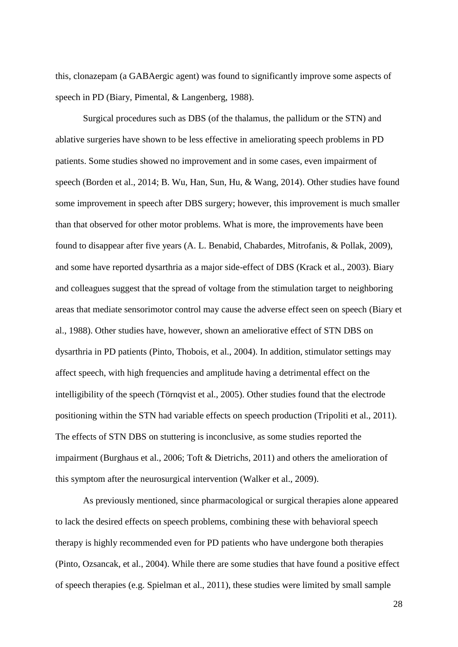this, clonazepam (a GABAergic agent) was found to significantly improve some aspects of speech in PD [\(Biary, Pimental, & Langenberg, 1988\)](#page-35-14).

Surgical procedures such as DBS (of the thalamus, the pallidum or the STN) and ablative surgeries have shown to be less effective in ameliorating speech problems in PD patients. Some studies showed no improvement and in some cases, even impairment of speech [\(Borden et al., 2014;](#page-35-15) [B. Wu, Han, Sun, Hu, & Wang, 2014\)](#page-46-16). Other studies have found some improvement in speech after DBS surgery; however, this improvement is much smaller than that observed for other motor problems. What is more, the improvements have been found to disappear after five years [\(A. L. Benabid, Chabardes, Mitrofanis, & Pollak, 2009\)](#page-34-17), and some have reported dysarthria as a major side-effect of DBS [\(Krack et al., 2003\)](#page-39-16). Biary and colleagues suggest that the spread of voltage from the stimulation target to neighboring areas that mediate sensorimotor control may cause the adverse effect seen on speech [\(Biary et](#page-35-14)  [al., 1988\)](#page-35-14). Other studies have, however, shown an ameliorative effect of STN DBS on dysarthria in PD patients [\(Pinto, Thobois, et al., 2004\)](#page-41-16). In addition, stimulator settings may affect speech, with high frequencies and amplitude having a detrimental effect on the intelligibility of the speech [\(Törnqvist et al., 2005\)](#page-45-14). Other studies found that the electrode positioning within the STN had variable effects on speech production [\(Tripoliti et al., 2011\)](#page-45-15). The effects of STN DBS on stuttering is inconclusive, as some studies reported the impairment [\(Burghaus et al., 2006;](#page-35-12) [Toft & Dietrichs, 2011\)](#page-45-16) and others the amelioration of this symptom after the neurosurgical intervention [\(Walker et al., 2009\)](#page-46-17).

As previously mentioned, since pharmacological or surgical therapies alone appeared to lack the desired effects on speech problems, combining these with behavioral speech therapy is highly recommended even for PD patients who have undergone both therapies [\(Pinto, Ozsancak, et al., 2004\)](#page-41-17). While there are some studies that have found a positive effect of speech therapies [\(e.g. Spielman et al., 2011\)](#page-44-15), these studies were limited by small sample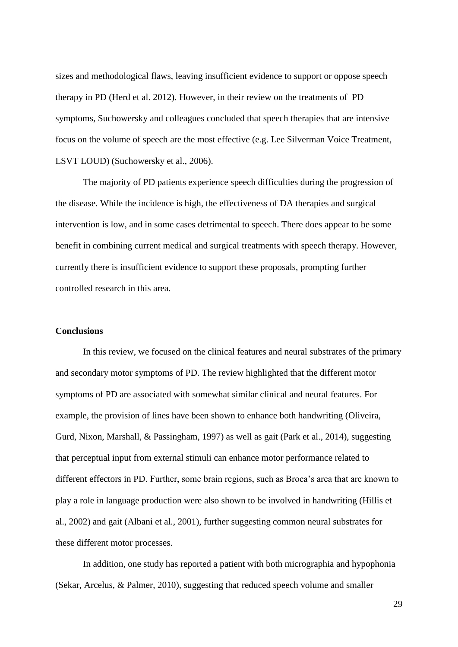sizes and methodological flaws, leaving insufficient evidence to support or oppose speech therapy in PD (Herd et al. 2012). However, in their review on the treatments of PD symptoms, Suchowersky and colleagues concluded that speech therapies that are intensive focus on the volume of speech are the most effective (e.g. Lee Silverman Voice Treatment, LSVT LOUD) [\(Suchowersky et al., 2006\)](#page-44-16).

The majority of PD patients experience speech difficulties during the progression of the disease. While the incidence is high, the effectiveness of DA therapies and surgical intervention is low, and in some cases detrimental to speech. There does appear to be some benefit in combining current medical and surgical treatments with speech therapy. However, currently there is insufficient evidence to support these proposals, prompting further controlled research in this area.

#### **Conclusions**

In this review, we focused on the clinical features and neural substrates of the primary and secondary motor symptoms of PD. The review highlighted that the different motor symptoms of PD are associated with somewhat similar clinical and neural features. For example, the provision of lines have been shown to enhance both handwriting [\(Oliveira,](#page-41-18)  [Gurd, Nixon, Marshall, & Passingham, 1997\)](#page-41-18) as well as gait [\(Park et al., 2014\)](#page-41-15), suggesting that perceptual input from external stimuli can enhance motor performance related to different effectors in PD. Further, some brain regions, such as Broca's area that are known to play a role in language production were also shown to be involved in handwriting [\(Hillis et](#page-38-7)  [al., 2002\)](#page-38-7) and gait [\(Albani et al., 2001\)](#page-34-18), further suggesting common neural substrates for these different motor processes.

In addition, one study has reported a patient with both micrographia and hypophonia [\(Sekar, Arcelus, & Palmer, 2010\)](#page-43-15), suggesting that reduced speech volume and smaller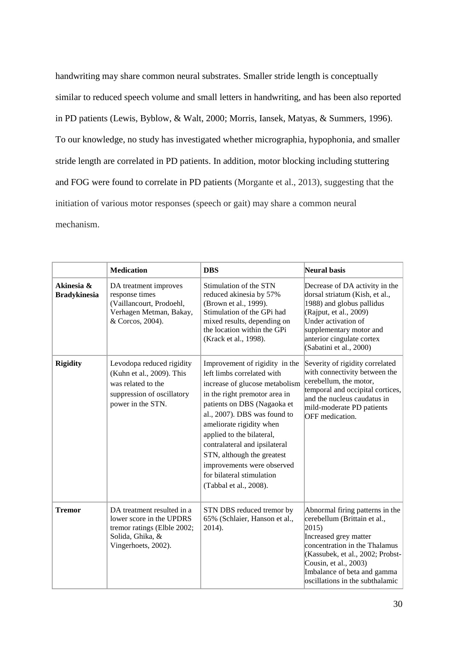handwriting may share common neural substrates. Smaller stride length is conceptually similar to reduced speech volume and small letters in handwriting, and has been also reported in PD patients [\(Lewis, Byblow, & Walt, 2000;](#page-39-17) [Morris, Iansek, Matyas, & Summers, 1996\)](#page-40-19). To our knowledge, no study has investigated whether micrographia, hypophonia, and smaller stride length are correlated in PD patients. In addition, motor blocking including stuttering and FOG were found to correlate in PD patients (Morgante et al., 2013), suggesting that the initiation of various motor responses (speech or gait) may share a common neural mechanism.

|                                   | <b>Medication</b>                                                                                                                | <b>DBS</b>                                                                                                                                                                                                                                                                                                                                                                                                  | Neural basis                                                                                                                                                                                                                                                               |
|-----------------------------------|----------------------------------------------------------------------------------------------------------------------------------|-------------------------------------------------------------------------------------------------------------------------------------------------------------------------------------------------------------------------------------------------------------------------------------------------------------------------------------------------------------------------------------------------------------|----------------------------------------------------------------------------------------------------------------------------------------------------------------------------------------------------------------------------------------------------------------------------|
| Akinesia &<br><b>Bradykinesia</b> | DA treatment improves<br>response times<br>(Vaillancourt, Prodoehl,<br>Verhagen Metman, Bakay,<br>& Corcos, 2004).               | Stimulation of the STN<br>reduced akinesia by 57%<br>(Brown et al., 1999).<br>Stimulation of the GPi had<br>mixed results, depending on<br>the location within the GPi<br>(Krack et al., 1998).                                                                                                                                                                                                             | Decrease of DA activity in the<br>dorsal striatum (Kish, et al.,<br>1988) and globus pallidus<br>(Rajput, et al., 2009)<br>Under activation of<br>supplementary motor and<br>anterior cingulate cortex<br>(Sabatini et al., 2000)                                          |
| <b>Rigidity</b>                   | Levodopa reduced rigidity<br>(Kuhn et al., 2009). This<br>was related to the<br>suppression of oscillatory<br>power in the STN.  | Improvement of rigidity in the<br>left limbs correlated with<br>increase of glucose metabolism<br>in the right premotor area in<br>patients on DBS (Nagaoka et<br>al., 2007). DBS was found to<br>ameliorate rigidity when<br>applied to the bilateral,<br>contralateral and ipsilateral<br>STN, although the greatest<br>improvements were observed<br>for bilateral stimulation<br>(Tabbal et al., 2008). | Severity of rigidity correlated<br>with connectivity between the<br>cerebellum, the motor,<br>temporal and occipital cortices,<br>and the nucleus caudatus in<br>mild-moderate PD patients<br>OFF medication.                                                              |
| <b>Tremor</b>                     | DA treatment resulted in a<br>lower score in the UPDRS<br>tremor ratings (Elble 2002;<br>Solida, Ghika, &<br>Vingerhoets, 2002). | STN DBS reduced tremor by<br>65% (Schlaier, Hanson et al.,<br>2014).                                                                                                                                                                                                                                                                                                                                        | Abnormal firing patterns in the<br>cerebellum (Brittain et al.,<br>$ 2015\rangle$<br>Increased grey matter<br>concentration in the Thalamus<br>(Kassubek, et al., 2002; Probst-<br>Cousin, et al., 2003)<br>Imbalance of beta and gamma<br>oscillations in the subthalamic |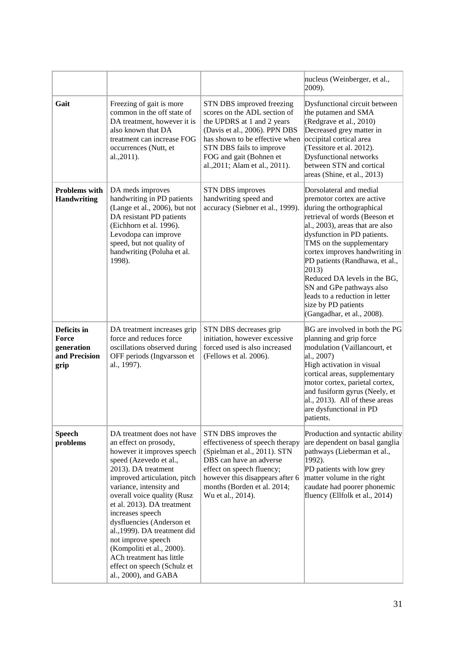|                                                             |                                                                                                                                                                                                                                                                                                                                                                                                                                                                                   |                                                                                                                                                                                                                                                     | nucleus (Weinberger, et al.,<br>$[2009]$ .                                                                                                                                                                                                                                                                                                                                                                                                                     |
|-------------------------------------------------------------|-----------------------------------------------------------------------------------------------------------------------------------------------------------------------------------------------------------------------------------------------------------------------------------------------------------------------------------------------------------------------------------------------------------------------------------------------------------------------------------|-----------------------------------------------------------------------------------------------------------------------------------------------------------------------------------------------------------------------------------------------------|----------------------------------------------------------------------------------------------------------------------------------------------------------------------------------------------------------------------------------------------------------------------------------------------------------------------------------------------------------------------------------------------------------------------------------------------------------------|
| Gait                                                        | Freezing of gait is more<br>common in the off state of<br>DA treatment, however it is<br>also known that DA<br>treatment can increase FOG<br>occurrences (Nutt, et<br>al., 2011).                                                                                                                                                                                                                                                                                                 | STN DBS improved freezing<br>scores on the ADL section of<br>the UPDRS at 1 and 2 years<br>(Davis et al., 2006). PPN DBS<br>has shown to be effective when<br>STN DBS fails to improve<br>FOG and gait (Bohnen et<br>al., 2011; Alam et al., 2011). | Dysfunctional circuit between<br>the putamen and SMA<br>(Redgrave et al., 2010)<br>Decreased grey matter in<br>occipital cortical area<br>(Tessitore et al. 2012).<br>Dysfunctional networks<br>between STN and cortical<br>areas (Shine, et al., 2013)                                                                                                                                                                                                        |
| <b>Problems</b> with<br><b>Handwriting</b>                  | DA meds improves<br>handwriting in PD patients<br>(Lange et al., 2006), but not<br>DA resistant PD patients<br>(Eichhorn et al. 1996).<br>Levodopa can improve<br>speed, but not quality of<br>handwriting (Poluha et al.<br>1998).                                                                                                                                                                                                                                               | <b>STN DBS</b> improves<br>handwriting speed and<br>accuracy (Siebner et al., 1999).                                                                                                                                                                | Dorsolateral and medial<br>premotor cortex are active<br>during the orthographical<br>retrieval of words (Beeson et<br>$ $ al., 2003), areas that are also<br>dysfunction in PD patients.<br>TMS on the supplementary<br>cortex improves handwriting in<br>PD patients (Randhawa, et al.,<br>$ 2013\rangle$<br>Reduced DA levels in the BG,<br>SN and GPe pathways also<br>leads to a reduction in letter<br>size by PD patients<br>(Gangadhar, et al., 2008). |
| Deficits in<br>Force<br>generation<br>and Precision<br>grip | DA treatment increases grip<br>force and reduces force<br>oscillations observed during<br>OFF periods (Ingvarsson et<br>al., 1997).                                                                                                                                                                                                                                                                                                                                               | STN DBS decreases grip<br>initiation, however excessive<br>forced used is also increased<br>(Fellows et al. 2006).                                                                                                                                  | BG are involved in both the PG<br>planning and grip force<br>modulation (Vaillancourt, et<br>$ $ al., 2007)<br>High activation in visual<br>cortical areas, supplementary<br>motor cortex, parietal cortex,<br>and fusiform gyrus (Neely, et<br>$ $ al., 2013). All of these areas<br>are dysfunctional in PD<br>patients.                                                                                                                                     |
| <b>Speech</b><br>problems                                   | DA treatment does not have<br>an effect on prosody,<br>however it improves speech<br>speed (Azevedo et al.,<br>2013). DA treatment<br>improved articulation, pitch<br>variance, intensity and<br>overall voice quality (Rusz<br>et al. 2013). DA treatment<br>increases speech<br>dysfluencies (Anderson et<br>al., 1999). DA treatment did<br>not improve speech<br>(Kompoliti et al., 2000).<br>ACh treatment has little<br>effect on speech (Schulz et<br>al., 2000), and GABA | STN DBS improves the<br>effectiveness of speech therapy<br>(Spielman et al., 2011). STN<br>DBS can have an adverse<br>effect on speech fluency;<br>however this disappears after 6<br>months (Borden et al. 2014;<br>Wu et al., 2014).              | Production and syntactic ability<br>are dependent on basal ganglia<br>pathways (Lieberman et al.,<br>1992).<br>PD patients with low grey<br>matter volume in the right<br>caudate had poorer phonemic<br>fluency (Ellfolk et al., 2014)                                                                                                                                                                                                                        |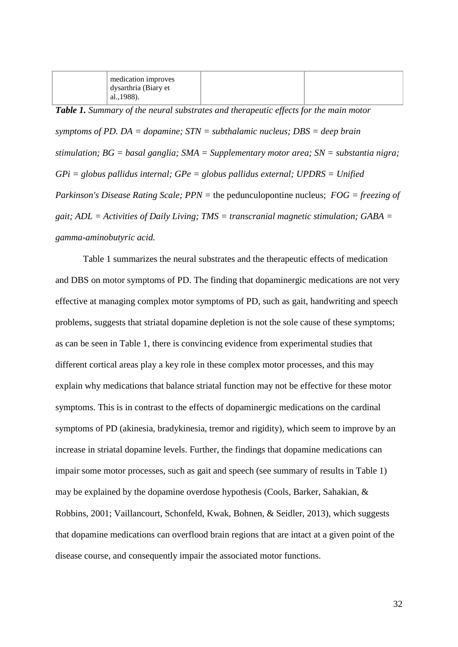| $\mu$ medication improves |  |
|---------------------------|--|
| dysarthria (Biary et      |  |
| al., 1988).               |  |

*Table 1. Summary of the neural substrates and therapeutic effects for the main motor symptoms of PD. DA = dopamine; STN = subthalamic nucleus; DBS = deep brain stimulation; BG = basal ganglia; SMA = Supplementary motor area; SN = substantia nigra; GPi = globus pallidus internal; GPe = globus pallidus external; UPDRS = Unified Parkinson's Disease Rating Scale; PPN =* the pedunculopontine nucleus; *FOG = freezing of gait; ADL = Activities of Daily Living; TMS = transcranial magnetic stimulation; GABA = gamma-aminobutyric acid.*

Table 1 summarizes the neural substrates and the therapeutic effects of medication and DBS on motor symptoms of PD. The finding that dopaminergic medications are not very effective at managing complex motor symptoms of PD, such as gait, handwriting and speech problems, suggests that striatal dopamine depletion is not the sole cause of these symptoms; as can be seen in Table 1, there is convincing evidence from experimental studies that different cortical areas play a key role in these complex motor processes, and this may explain why medications that balance striatal function may not be effective for these motor symptoms. This is in contrast to the effects of dopaminergic medications on the cardinal symptoms of PD (akinesia, bradykinesia, tremor and rigidity), which seem to improve by an increase in striatal dopamine levels. Further, the findings that dopamine medications can impair some motor processes, such as gait and speech (see summary of results in Table 1) may be explained by the dopamine overdose hypothesis [\(Cools, Barker, Sahakian, &](#page-35-16)  [Robbins, 2001;](#page-35-16) [Vaillancourt, Schonfeld, Kwak, Bohnen, & Seidler, 2013\)](#page-45-17), which suggests that dopamine medications can overflood brain regions that are intact at a given point of the disease course, and consequently impair the associated motor functions.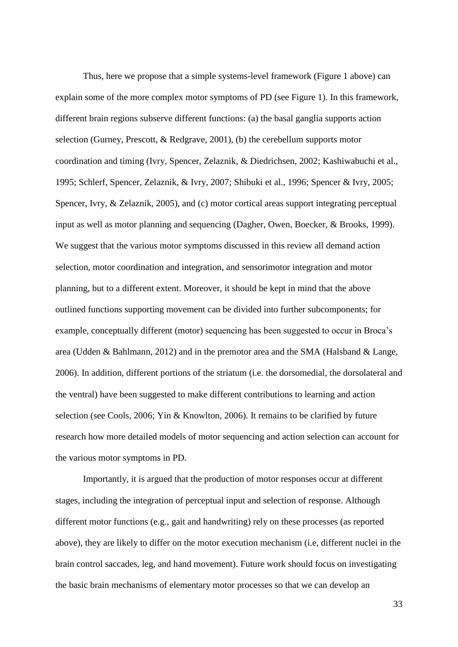Thus, here we propose that a simple systems-level framework (Figure 1 above) can explain some of the more complex motor symptoms of PD (see Figure 1). In this framework, different brain regions subserve different functions: (a) the basal ganglia supports action selection [\(Gurney, Prescott, & Redgrave, 2001\)](#page-37-18), (b) the cerebellum supports motor coordination and timing [\(Ivry, Spencer, Zelaznik, & Diedrichsen, 2002;](#page-38-20) [Kashiwabuchi et al.,](#page-39-18)  [1995;](#page-39-18) [Schlerf, Spencer, Zelaznik, & Ivry, 2007;](#page-43-16) [Shibuki et al., 1996;](#page-43-17) [Spencer & Ivry, 2005;](#page-44-17) [Spencer, Ivry, & Zelaznik, 2005\)](#page-44-18), and (c) motor cortical areas support integrating perceptual input as well as motor planning and sequencing [\(Dagher, Owen, Boecker, & Brooks, 1999\)](#page-36-18). We suggest that the various motor symptoms discussed in this review all demand action selection, motor coordination and integration, and sensorimotor integration and motor planning, but to a different extent. Moreover, it should be kept in mind that the above outlined functions supporting movement can be divided into further subcomponents; for example, conceptually different (motor) sequencing has been suggested to occur in Broca's area [\(Udden & Bahlmann, 2012\)](#page-45-18) and in the premotor area and the SMA [\(Halsband & Lange,](#page-37-19)  [2006\)](#page-37-19). In addition, different portions of the striatum (i.e. the dorsomedial, the dorsolateral and the ventral) have been suggested to make different contributions to learning and action selection (see [Cools, 2006;](#page-35-17) [Yin & Knowlton, 2006\)](#page-46-18). It remains to be clarified by future research how more detailed models of motor sequencing and action selection can account for the various motor symptoms in PD.

Importantly, it is argued that the production of motor responses occur at different stages, including the integration of perceptual input and selection of response. Although different motor functions (e.g., gait and handwriting) rely on these processes (as reported above), they are likely to differ on the motor execution mechanism (i.e, different nuclei in the brain control saccades, leg, and hand movement). Future work should focus on investigating the basic brain mechanisms of elementary motor processes so that we can develop an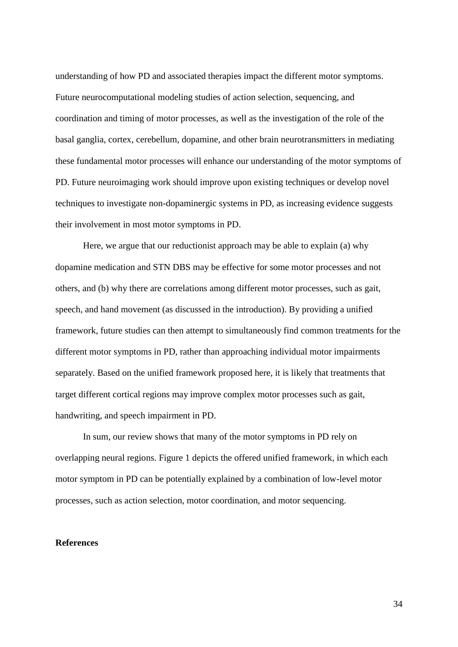understanding of how PD and associated therapies impact the different motor symptoms. Future neurocomputational modeling studies of action selection, sequencing, and coordination and timing of motor processes, as well as the investigation of the role of the basal ganglia, cortex, cerebellum, dopamine, and other brain neurotransmitters in mediating these fundamental motor processes will enhance our understanding of the motor symptoms of PD. Future neuroimaging work should improve upon existing techniques or develop novel techniques to investigate non-dopaminergic systems in PD, as increasing evidence suggests their involvement in most motor symptoms in PD.

Here, we argue that our reductionist approach may be able to explain (a) why dopamine medication and STN DBS may be effective for some motor processes and not others, and (b) why there are correlations among different motor processes, such as gait, speech, and hand movement (as discussed in the introduction). By providing a unified framework, future studies can then attempt to simultaneously find common treatments for the different motor symptoms in PD, rather than approaching individual motor impairments separately. Based on the unified framework proposed here, it is likely that treatments that target different cortical regions may improve complex motor processes such as gait, handwriting, and speech impairment in PD.

In sum, our review shows that many of the motor symptoms in PD rely on overlapping neural regions. Figure 1 depicts the offered unified framework, in which each motor symptom in PD can be potentially explained by a combination of low-level motor processes, such as action selection, motor coordination, and motor sequencing.

#### **References**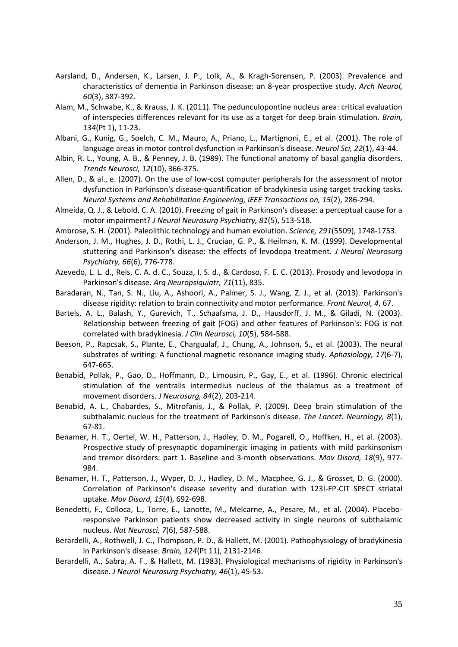- <span id="page-34-1"></span>Aarsland, D., Andersen, K., Larsen, J. P., Lolk, A., & Kragh-Sorensen, P. (2003). Prevalence and characteristics of dementia in Parkinson disease: an 8-year prospective study. *Arch Neurol, 60*(3), 387-392.
- <span id="page-34-11"></span>Alam, M., Schwabe, K., & Krauss, J. K. (2011). The pedunculopontine nucleus area: critical evaluation of interspecies differences relevant for its use as a target for deep brain stimulation. *Brain, 134*(Pt 1), 11-23.
- <span id="page-34-18"></span>Albani, G., Kunig, G., Soelch, C. M., Mauro, A., Priano, L., Martignoni, E., et al. (2001). The role of language areas in motor control dysfunction in Parkinson's disease. *Neurol Sci, 22*(1), 43-44.
- <span id="page-34-2"></span>Albin, R. L., Young, A. B., & Penney, J. B. (1989). The functional anatomy of basal ganglia disorders. *Trends Neurosci, 12*(10), 366-375.
- <span id="page-34-14"></span>Allen, D., & al., e. (2007). On the use of low-cost computer peripherals for the assessment of motor dysfunction in Parkinson's disease-quantification of bradykinesia using target tracking tasks. *Neural Systems and Rehabilitation Engineering, IEEE Transactions on, 15*(2), 286-294.
- <span id="page-34-10"></span>Almeida, Q. J., & Lebold, C. A. (2010). Freezing of gait in Parkinson's disease: a perceptual cause for a motor impairment? *J Neurol Neurosurg Psychiatry, 81*(5), 513-518.
- <span id="page-34-13"></span>Ambrose, S. H. (2001). Paleolithic technology and human evolution. *Science, 291*(5509), 1748-1753.
- <span id="page-34-15"></span>Anderson, J. M., Hughes, J. D., Rothi, L. J., Crucian, G. P., & Heilman, K. M. (1999). Developmental stuttering and Parkinson's disease: the effects of levodopa treatment. *J Neurol Neurosurg Psychiatry, 66*(6), 776-778.
- <span id="page-34-16"></span>Azevedo, L. L. d., Reis, C. A. d. C., Souza, I. S. d., & Cardoso, F. E. C. (2013). Prosody and levodopa in Parkinson's disease. *Arq Neuropsiquiatr, 71*(11), 835.
- <span id="page-34-7"></span>Baradaran, N., Tan, S. N., Liu, A., Ashoori, A., Palmer, S. J., Wang, Z. J., et al. (2013). Parkinson's disease rigidity: relation to brain connectivity and motor performance. *Front Neurol, 4*, 67.
- <span id="page-34-9"></span>Bartels, A. L., Balash, Y., Gurevich, T., Schaafsma, J. D., Hausdorff, J. M., & Giladi, N. (2003). Relationship between freezing of gait (FOG) and other features of Parkinson's: FOG is not correlated with bradykinesia. *J Clin Neurosci, 10*(5), 584-588.
- <span id="page-34-12"></span>Beeson, P., Rapcsak, S., Plante, E., Chargualaf, J., Chung, A., Johnson, S., et al. (2003). The neural substrates of writing: A functional magnetic resonance imaging study. *Aphasiology, 17*(6-7), 647-665.
- <span id="page-34-8"></span>Benabid, Pollak, P., Gao, D., Hoffmann, D., Limousin, P., Gay, E., et al. (1996). Chronic electrical stimulation of the ventralis intermedius nucleus of the thalamus as a treatment of movement disorders. *J Neurosurg, 84*(2), 203-214.
- <span id="page-34-17"></span>Benabid, A. L., Chabardes, S., Mitrofanis, J., & Pollak, P. (2009). Deep brain stimulation of the subthalamic nucleus for the treatment of Parkinson's disease. *The Lancet. Neurology, 8*(1), 67-81.
- <span id="page-34-3"></span>Benamer, H. T., Oertel, W. H., Patterson, J., Hadley, D. M., Pogarell, O., Hoffken, H., et al. (2003). Prospective study of presynaptic dopaminergic imaging in patients with mild parkinsonism and tremor disorders: part 1. Baseline and 3-month observations. *Mov Disord, 18*(9), 977- 984.
- <span id="page-34-4"></span>Benamer, H. T., Patterson, J., Wyper, D. J., Hadley, D. M., Macphee, G. J., & Grosset, D. G. (2000). Correlation of Parkinson's disease severity and duration with 123I-FP-CIT SPECT striatal uptake. *Mov Disord, 15*(4), 692-698.
- <span id="page-34-6"></span>Benedetti, F., Colloca, L., Torre, E., Lanotte, M., Melcarne, A., Pesare, M., et al. (2004). Placeboresponsive Parkinson patients show decreased activity in single neurons of subthalamic nucleus. *Nat Neurosci, 7*(6), 587-588.
- <span id="page-34-5"></span>Berardelli, A., Rothwell, J. C., Thompson, P. D., & Hallett, M. (2001). Pathophysiology of bradykinesia in Parkinson's disease. *Brain, 124*(Pt 11), 2131-2146.
- <span id="page-34-0"></span>Berardelli, A., Sabra, A. F., & Hallett, M. (1983). Physiological mechanisms of rigidity in Parkinson's disease. *J Neurol Neurosurg Psychiatry, 46*(1), 45-53.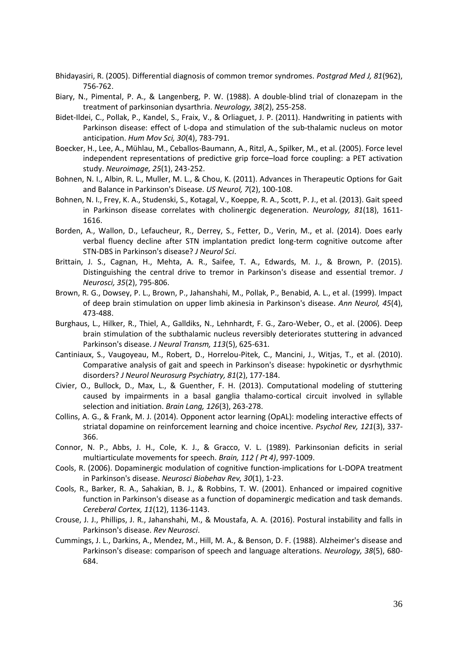- <span id="page-35-3"></span>Bhidayasiri, R. (2005). Differential diagnosis of common tremor syndromes. *Postgrad Med J, 81*(962), 756-762.
- <span id="page-35-14"></span>Biary, N., Pimental, P. A., & Langenberg, P. W. (1988). A double-blind trial of clonazepam in the treatment of parkinsonian dysarthria. *Neurology, 38*(2), 255-258.
- <span id="page-35-8"></span>Bidet-Ildei, C., Pollak, P., Kandel, S., Fraix, V., & Orliaguet, J. P. (2011). Handwriting in patients with Parkinson disease: effect of L-dopa and stimulation of the sub-thalamic nucleus on motor anticipation. *Hum Mov Sci, 30*(4), 783-791.
- <span id="page-35-9"></span>Boecker, H., Lee, A., Mühlau, M., Ceballos-Baumann, A., Ritzl, A., Spilker, M., et al. (2005). Force level independent representations of predictive grip force–load force coupling: a PET activation study. *Neuroimage, 25*(1), 243-252.
- <span id="page-35-7"></span>Bohnen, N. I., Albin, R. L., Muller, M. L., & Chou, K. (2011). Advances in Therapeutic Options for Gait and Balance in Parkinson's Disease. *US Neurol, 7*(2), 100-108.
- <span id="page-35-0"></span>Bohnen, N. I., Frey, K. A., Studenski, S., Kotagal, V., Koeppe, R. A., Scott, P. J., et al. (2013). Gait speed in Parkinson disease correlates with cholinergic degeneration. *Neurology, 81*(18), 1611- 1616.
- <span id="page-35-15"></span>Borden, A., Wallon, D., Lefaucheur, R., Derrey, S., Fetter, D., Verin, M., et al. (2014). Does early verbal fluency decline after STN implantation predict long-term cognitive outcome after STN-DBS in Parkinson's disease? *J Neurol Sci*.
- <span id="page-35-5"></span>Brittain, J. S., Cagnan, H., Mehta, A. R., Saifee, T. A., Edwards, M. J., & Brown, P. (2015). Distinguishing the central drive to tremor in Parkinson's disease and essential tremor. *J Neurosci, 35*(2), 795-806.
- <span id="page-35-6"></span>Brown, R. G., Dowsey, P. L., Brown, P., Jahanshahi, M., Pollak, P., Benabid, A. L., et al. (1999). Impact of deep brain stimulation on upper limb akinesia in Parkinson's disease. *Ann Neurol, 45*(4), 473-488.
- <span id="page-35-12"></span>Burghaus, L., Hilker, R., Thiel, A., Galldiks, N., Lehnhardt, F. G., Zaro-Weber, O., et al. (2006). Deep brain stimulation of the subthalamic nucleus reversibly deteriorates stuttering in advanced Parkinson's disease. *J Neural Transm, 113*(5), 625-631.
- <span id="page-35-1"></span>Cantiniaux, S., Vaugoyeau, M., Robert, D., Horrelou-Pitek, C., Mancini, J., Witjas, T., et al. (2010). Comparative analysis of gait and speech in Parkinson's disease: hypokinetic or dysrhythmic disorders? *J Neurol Neurosurg Psychiatry, 81*(2), 177-184.
- <span id="page-35-13"></span>Civier, O., Bullock, D., Max, L., & Guenther, F. H. (2013). Computational modeling of stuttering caused by impairments in a basal ganglia thalamo-cortical circuit involved in syllable selection and initiation. *Brain Lang, 126*(3), 263-278.
- <span id="page-35-4"></span>Collins, A. G., & Frank, M. J. (2014). Opponent actor learning (OpAL): modeling interactive effects of striatal dopamine on reinforcement learning and choice incentive. *Psychol Rev, 121*(3), 337- 366.
- <span id="page-35-10"></span>Connor, N. P., Abbs, J. H., Cole, K. J., & Gracco, V. L. (1989). Parkinsonian deficits in serial multiarticulate movements for speech. *Brain, 112 ( Pt 4)*, 997-1009.
- <span id="page-35-17"></span>Cools, R. (2006). Dopaminergic modulation of cognitive function-implications for L-DOPA treatment in Parkinson's disease. *Neurosci Biobehav Rev, 30*(1), 1-23.
- <span id="page-35-16"></span>Cools, R., Barker, R. A., Sahakian, B. J., & Robbins, T. W. (2001). Enhanced or impaired cognitive function in Parkinson's disease as a function of dopaminergic medication and task demands. *Cereberal Cortex, 11*(12), 1136-1143.
- <span id="page-35-2"></span>Crouse, J. J., Phillips, J. R., Jahanshahi, M., & Moustafa, A. A. (2016). Postural instability and falls in Parkinson's disease. *Rev Neurosci*.
- <span id="page-35-11"></span>Cummings, J. L., Darkins, A., Mendez, M., Hill, M. A., & Benson, D. F. (1988). Alzheimer's disease and Parkinson's disease: comparison of speech and language alterations. *Neurology, 38*(5), 680- 684.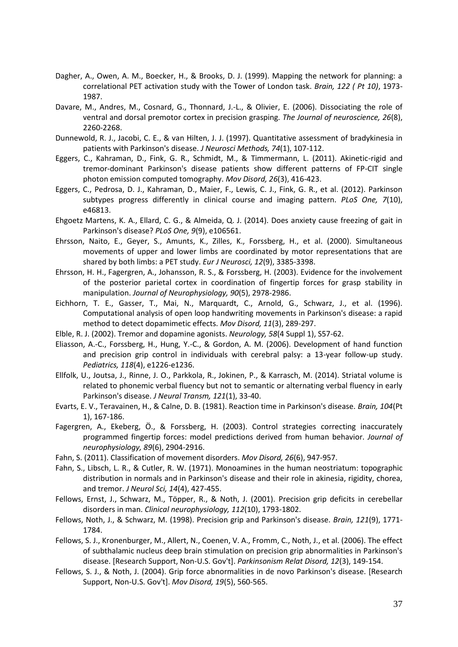- <span id="page-36-18"></span>Dagher, A., Owen, A. M., Boecker, H., & Brooks, D. J. (1999). Mapping the network for planning: a correlational PET activation study with the Tower of London task. *Brain, 122 ( Pt 10)*, 1973- 1987.
- <span id="page-36-12"></span>Davare, M., Andres, M., Cosnard, G., Thonnard, J.-L., & Olivier, E. (2006). Dissociating the role of ventral and dorsal premotor cortex in precision grasping. *The Journal of neuroscience, 26*(8), 2260-2268.
- <span id="page-36-16"></span>Dunnewold, R. J., Jacobi, C. E., & van Hilten, J. J. (1997). Quantitative assessment of bradykinesia in patients with Parkinson's disease. *J Neurosci Methods, 74*(1), 107-112.
- <span id="page-36-1"></span>Eggers, C., Kahraman, D., Fink, G. R., Schmidt, M., & Timmermann, L. (2011). Akinetic-rigid and tremor-dominant Parkinson's disease patients show different patterns of FP-CIT single photon emission computed tomography. *Mov Disord, 26*(3), 416-423.
- <span id="page-36-2"></span>Eggers, C., Pedrosa, D. J., Kahraman, D., Maier, F., Lewis, C. J., Fink, G. R., et al. (2012). Parkinson subtypes progress differently in clinical course and imaging pattern. *PLoS One, 7*(10), e46813.
- <span id="page-36-6"></span>Ehgoetz Martens, K. A., Ellard, C. G., & Almeida, Q. J. (2014). Does anxiety cause freezing of gait in Parkinson's disease? *PLoS One, 9*(9), e106561.
- Ehrsson, Naito, E., Geyer, S., Amunts, K., Zilles, K., Forssberg, H., et al. (2000). Simultaneous movements of upper and lower limbs are coordinated by motor representations that are shared by both limbs: a PET study. *Eur J Neurosci, 12*(9), 3385-3398.
- <span id="page-36-13"></span>Ehrsson, H. H., Fagergren, A., Johansson, R. S., & Forssberg, H. (2003). Evidence for the involvement of the posterior parietal cortex in coordination of fingertip forces for grasp stability in manipulation. *Journal of Neurophysiology, 90*(5), 2978-2986.
- <span id="page-36-7"></span>Eichhorn, T. E., Gasser, T., Mai, N., Marquardt, C., Arnold, G., Schwarz, J., et al. (1996). Computational analysis of open loop handwriting movements in Parkinson's disease: a rapid method to detect dopamimetic effects. *Mov Disord, 11*(3), 289-297.
- <span id="page-36-5"></span>Elble, R. J. (2002). Tremor and dopamine agonists. *Neurology, 58*(4 Suppl 1), S57-62.
- <span id="page-36-9"></span>Eliasson, A.-C., Forssberg, H., Hung, Y.-C., & Gordon, A. M. (2006). Development of hand function and precision grip control in individuals with cerebral palsy: a 13-year follow-up study. *Pediatrics, 118*(4), e1226-e1236.
- <span id="page-36-17"></span>Ellfolk, U., Joutsa, J., Rinne, J. O., Parkkola, R., Jokinen, P., & Karrasch, M. (2014). Striatal volume is related to phonemic verbal fluency but not to semantic or alternating verbal fluency in early Parkinson's disease. *J Neural Transm, 121*(1), 33-40.
- <span id="page-36-3"></span>Evarts, E. V., Teravainen, H., & Calne, D. B. (1981). Reaction time in Parkinson's disease. *Brain, 104*(Pt 1), 167-186.
- <span id="page-36-10"></span>Fagergren, A., Ekeberg, Ö., & Forssberg, H. (2003). Control strategies correcting inaccurately programmed fingertip forces: model predictions derived from human behavior. *Journal of neurophysiology, 89*(6), 2904-2916.
- <span id="page-36-0"></span>Fahn, S. (2011). Classification of movement disorders. *Mov Disord, 26*(6), 947-957.
- <span id="page-36-4"></span>Fahn, S., Libsch, L. R., & Cutler, R. W. (1971). Monoamines in the human neostriatum: topographic distribution in normals and in Parkinson's disease and their role in akinesia, rigidity, chorea, and tremor. *J Neurol Sci, 14*(4), 427-455.
- <span id="page-36-11"></span>Fellows, Ernst, J., Schwarz, M., Töpper, R., & Noth, J. (2001). Precision grip deficits in cerebellar disorders in man. *Clinical neurophysiology, 112*(10), 1793-1802.
- <span id="page-36-8"></span>Fellows, Noth, J., & Schwarz, M. (1998). Precision grip and Parkinson's disease. *Brain, 121*(9), 1771- 1784.
- <span id="page-36-15"></span>Fellows, S. J., Kronenburger, M., Allert, N., Coenen, V. A., Fromm, C., Noth, J., et al. (2006). The effect of subthalamic nucleus deep brain stimulation on precision grip abnormalities in Parkinson's disease. [Research Support, Non-U.S. Gov't]. *Parkinsonism Relat Disord, 12*(3), 149-154.
- <span id="page-36-14"></span>Fellows, S. J., & Noth, J. (2004). Grip force abnormalities in de novo Parkinson's disease. [Research Support, Non-U.S. Gov't]. *Mov Disord, 19*(5), 560-565.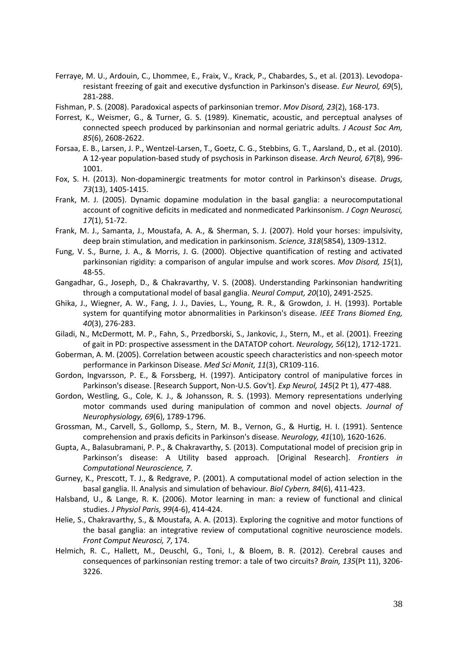- <span id="page-37-7"></span>Ferraye, M. U., Ardouin, C., Lhommee, E., Fraix, V., Krack, P., Chabardes, S., et al. (2013). Levodoparesistant freezing of gait and executive dysfunction in Parkinson's disease. *Eur Neurol, 69*(5), 281-288.
- <span id="page-37-5"></span>Fishman, P. S. (2008). Paradoxical aspects of parkinsonian tremor. *Mov Disord, 23*(2), 168-173.
- <span id="page-37-15"></span>Forrest, K., Weismer, G., & Turner, G. S. (1989). Kinematic, acoustic, and perceptual analyses of connected speech produced by parkinsonian and normal geriatric adults. *J Acoust Soc Am, 85*(6), 2608-2622.
- <span id="page-37-4"></span>Forsaa, E. B., Larsen, J. P., Wentzel-Larsen, T., Goetz, C. G., Stebbins, G. T., Aarsland, D., et al. (2010). A 12-year population-based study of psychosis in Parkinson disease. *Arch Neurol, 67*(8), 996- 1001.
- <span id="page-37-0"></span>Fox, S. H. (2013). Non-dopaminergic treatments for motor control in Parkinson's disease. *Drugs, 73*(13), 1405-1415.
- <span id="page-37-17"></span>Frank, M. J. (2005). Dynamic dopamine modulation in the basal ganglia: a neurocomputational account of cognitive deficits in medicated and nonmedicated Parkinsonism. *J Cogn Neurosci, 17*(1), 51-72.
- <span id="page-37-6"></span>Frank, M. J., Samanta, J., Moustafa, A. A., & Sherman, S. J. (2007). Hold your horses: impulsivity, deep brain stimulation, and medication in parkinsonism. *Science, 318*(5854), 1309-1312.
- <span id="page-37-13"></span>Fung, V. S., Burne, J. A., & Morris, J. G. (2000). Objective quantification of resting and activated parkinsonian rigidity: a comparison of angular impulse and work scores. *Mov Disord, 15*(1), 48-55.
- <span id="page-37-8"></span>Gangadhar, G., Joseph, D., & Chakravarthy, V. S. (2008). Understanding Parkinsonian handwriting through a computational model of basal ganglia. *Neural Comput, 20*(10), 2491-2525.
- <span id="page-37-14"></span>Ghika, J., Wiegner, A. W., Fang, J. J., Davies, L., Young, R. R., & Growdon, J. H. (1993). Portable system for quantifying motor abnormalities in Parkinson's disease. *IEEE Trans Biomed Eng, 40*(3), 276-283.
- <span id="page-37-1"></span>Giladi, N., McDermott, M. P., Fahn, S., Przedborski, S., Jankovic, J., Stern, M., et al. (2001). Freezing of gait in PD: prospective assessment in the DATATOP cohort. *Neurology, 56*(12), 1712-1721.
- <span id="page-37-2"></span>Goberman, A. M. (2005). Correlation between acoustic speech characteristics and non-speech motor performance in Parkinson Disease. *Med Sci Monit, 11*(3), CR109-116.
- <span id="page-37-10"></span>Gordon, Ingvarsson, P. E., & Forssberg, H. (1997). Anticipatory control of manipulative forces in Parkinson's disease. [Research Support, Non-U.S. Gov't]. *Exp Neurol, 145*(2 Pt 1), 477-488.
- <span id="page-37-11"></span>Gordon, Westling, G., Cole, K. J., & Johansson, R. S. (1993). Memory representations underlying motor commands used during manipulation of common and novel objects. *Journal of Neurophysiology, 69*(6), 1789-1796.
- <span id="page-37-16"></span>Grossman, M., Carvell, S., Gollomp, S., Stern, M. B., Vernon, G., & Hurtig, H. I. (1991). Sentence comprehension and praxis deficits in Parkinson's disease. *Neurology, 41*(10), 1620-1626.
- <span id="page-37-12"></span>Gupta, A., Balasubramani, P. P., & Chakravarthy, S. (2013). Computational model of precision grip in Parkinson's disease: A Utility based approach. [Original Research]. *Frontiers in Computational Neuroscience, 7*.
- <span id="page-37-18"></span>Gurney, K., Prescott, T. J., & Redgrave, P. (2001). A computational model of action selection in the basal ganglia. II. Analysis and simulation of behaviour. *Biol Cybern, 84*(6), 411-423.
- <span id="page-37-19"></span>Halsband, U., & Lange, R. K. (2006). Motor learning in man: a review of functional and clinical studies. *J Physiol Paris, 99*(4-6), 414-424.
- <span id="page-37-9"></span>Helie, S., Chakravarthy, S., & Moustafa, A. A. (2013). Exploring the cognitive and motor functions of the basal ganglia: an integrative review of computational cognitive neuroscience models. *Front Comput Neurosci, 7*, 174.
- <span id="page-37-3"></span>Helmich, R. C., Hallett, M., Deuschl, G., Toni, I., & Bloem, B. R. (2012). Cerebral causes and consequences of parkinsonian resting tremor: a tale of two circuits? *Brain, 135*(Pt 11), 3206- 3226.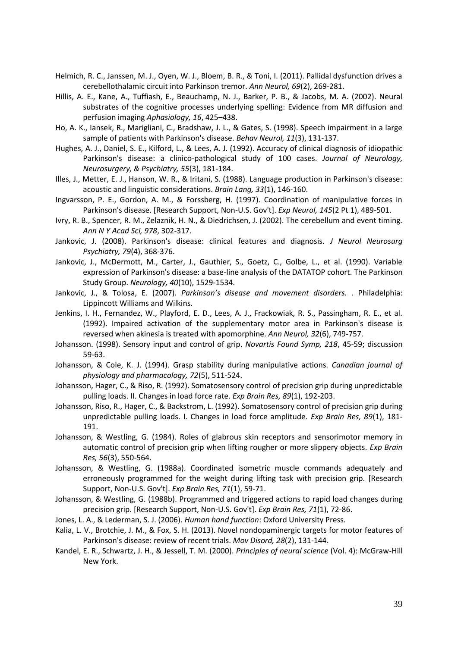- <span id="page-38-5"></span>Helmich, R. C., Janssen, M. J., Oyen, W. J., Bloem, B. R., & Toni, I. (2011). Pallidal dysfunction drives a cerebellothalamic circuit into Parkinson tremor. *Ann Neurol, 69*(2), 269-281.
- <span id="page-38-7"></span>Hillis, A. E., Kane, A., Tuffiash, E., Beauchamp, N. J., Barker, P. B., & Jacobs, M. A. (2002). Neural substrates of the cognitive processes underlying spelling: Evidence from MR diffusion and perfusion imaging *Aphasiology, 16*, 425–438.
- <span id="page-38-18"></span>Ho, A. K., Iansek, R., Marigliani, C., Bradshaw, J. L., & Gates, S. (1998). Speech impairment in a large sample of patients with Parkinson's disease. *Behav Neurol, 11*(3), 131-137.
- <span id="page-38-3"></span>Hughes, A. J., Daniel, S. E., Kilford, L., & Lees, A. J. (1992). Accuracy of clinical diagnosis of idiopathic Parkinson's disease: a clinico-pathological study of 100 cases. *Journal of Neurology, Neurosurgery, & Psychiatry, 55*(3), 181-184.
- <span id="page-38-19"></span>Illes, J., Metter, E. J., Hanson, W. R., & Iritani, S. (1988). Language production in Parkinson's disease: acoustic and linguistic considerations. *Brain Lang, 33*(1), 146-160.
- <span id="page-38-9"></span>Ingvarsson, P. E., Gordon, A. M., & Forssberg, H. (1997). Coordination of manipulative forces in Parkinson's disease. [Research Support, Non-U.S. Gov't]. *Exp Neurol, 145*(2 Pt 1), 489-501.
- <span id="page-38-20"></span>Ivry, R. B., Spencer, R. M., Zelaznik, H. N., & Diedrichsen, J. (2002). The cerebellum and event timing. *Ann N Y Acad Sci, 978*, 302-317.
- <span id="page-38-2"></span>Jankovic, J. (2008). Parkinson's disease: clinical features and diagnosis. *J Neurol Neurosurg Psychiatry, 79*(4), 368-376.
- <span id="page-38-4"></span>Jankovic, J., McDermott, M., Carter, J., Gauthier, S., Goetz, C., Golbe, L., et al. (1990). Variable expression of Parkinson's disease: a base-line analysis of the DATATOP cohort. The Parkinson Study Group. *Neurology, 40*(10), 1529-1534.
- <span id="page-38-0"></span>Jankovic, J., & Tolosa, E. (2007). *Parkinson's disease and movement disorders.* . Philadelphia: Lippincott Williams and Wilkins.
- <span id="page-38-6"></span>Jenkins, I. H., Fernandez, W., Playford, E. D., Lees, A. J., Frackowiak, R. S., Passingham, R. E., et al. (1992). Impaired activation of the supplementary motor area in Parkinson's disease is reversed when akinesia is treated with apomorphine. *Ann Neurol, 32*(6), 749-757.
- <span id="page-38-10"></span>Johansson. (1998). Sensory input and control of grip. *Novartis Found Symp, 218*, 45-59; discussion 59-63.
- <span id="page-38-11"></span>Johansson, & Cole, K. J. (1994). Grasp stability during manipulative actions. *Canadian journal of physiology and pharmacology, 72*(5), 511-524.
- <span id="page-38-12"></span>Johansson, Hager, C., & Riso, R. (1992). Somatosensory control of precision grip during unpredictable pulling loads. II. Changes in load force rate. *Exp Brain Res, 89*(1), 192-203.
- <span id="page-38-13"></span>Johansson, Riso, R., Hager, C., & Backstrom, L. (1992). Somatosensory control of precision grip during unpredictable pulling loads. I. Changes in load force amplitude. *Exp Brain Res, 89*(1), 181- 191.
- <span id="page-38-14"></span>Johansson, & Westling, G. (1984). Roles of glabrous skin receptors and sensorimotor memory in automatic control of precision grip when lifting rougher or more slippery objects. *Exp Brain Res, 56*(3), 550-564.
- <span id="page-38-15"></span>Johansson, & Westling, G. (1988a). Coordinated isometric muscle commands adequately and erroneously programmed for the weight during lifting task with precision grip. [Research Support, Non-U.S. Gov't]. *Exp Brain Res, 71*(1), 59-71.
- <span id="page-38-16"></span>Johansson, & Westling, G. (1988b). Programmed and triggered actions to rapid load changes during precision grip. [Research Support, Non-U.S. Gov't]. *Exp Brain Res, 71*(1), 72-86.
- <span id="page-38-8"></span>Jones, L. A., & Lederman, S. J. (2006). *Human hand function*: Oxford University Press.
- <span id="page-38-1"></span>Kalia, L. V., Brotchie, J. M., & Fox, S. H. (2013). Novel nondopaminergic targets for motor features of Parkinson's disease: review of recent trials. *Mov Disord, 28*(2), 131-144.
- <span id="page-38-17"></span>Kandel, E. R., Schwartz, J. H., & Jessell, T. M. (2000). *Principles of neural science* (Vol. 4): McGraw-Hill New York.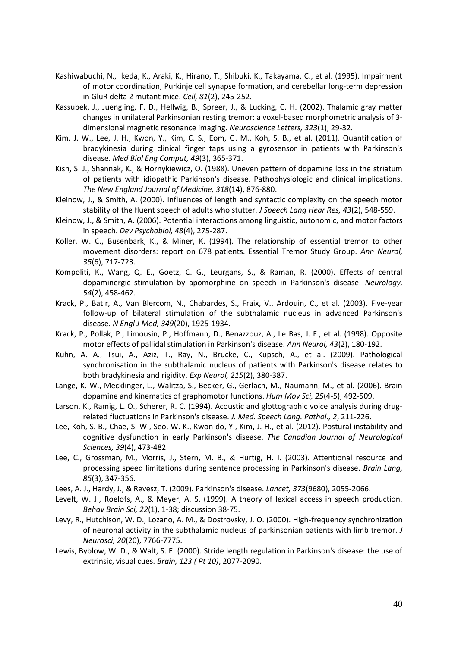- <span id="page-39-18"></span>Kashiwabuchi, N., Ikeda, K., Araki, K., Hirano, T., Shibuki, K., Takayama, C., et al. (1995). Impairment of motor coordination, Purkinje cell synapse formation, and cerebellar long-term depression in GluR delta 2 mutant mice. *Cell, 81*(2), 245-252.
- <span id="page-39-3"></span>Kassubek, J., Juengling, F. D., Hellwig, B., Spreer, J., & Lucking, C. H. (2002). Thalamic gray matter changes in unilateral Parkinsonian resting tremor: a voxel-based morphometric analysis of 3 dimensional magnetic resonance imaging. *Neuroscience Letters, 323*(1), 29-32.
- <span id="page-39-9"></span>Kim, J. W., Lee, J. H., Kwon, Y., Kim, C. S., Eom, G. M., Koh, S. B., et al. (2011). Quantification of bradykinesia during clinical finger taps using a gyrosensor in patients with Parkinson's disease. *Med Biol Eng Comput, 49*(3), 365-371.
- <span id="page-39-2"></span>Kish, S. J., Shannak, K., & Hornykiewicz, O. (1988). Uneven pattern of dopamine loss in the striatum of patients with idiopathic Parkinson's disease. Pathophysiologic and clinical implications. *The New England Journal of Medicine, 318*(14), 876-880.
- <span id="page-39-12"></span>Kleinow, J., & Smith, A. (2000). Influences of length and syntactic complexity on the speech motor stability of the fluent speech of adults who stutter. *J Speech Lang Hear Res, 43*(2), 548-559.
- <span id="page-39-11"></span>Kleinow, J., & Smith, A. (2006). Potential interactions among linguistic, autonomic, and motor factors in speech. *Dev Psychobiol, 48*(4), 275-287.
- <span id="page-39-5"></span>Koller, W. C., Busenbark, K., & Miner, K. (1994). The relationship of essential tremor to other movement disorders: report on 678 patients. Essential Tremor Study Group. *Ann Neurol, 35*(6), 717-723.
- <span id="page-39-14"></span>Kompoliti, K., Wang, Q. E., Goetz, C. G., Leurgans, S., & Raman, R. (2000). Effects of central dopaminergic stimulation by apomorphine on speech in Parkinson's disease. *Neurology, 54*(2), 458-462.
- <span id="page-39-16"></span>Krack, P., Batir, A., Van Blercom, N., Chabardes, S., Fraix, V., Ardouin, C., et al. (2003). Five-year follow-up of bilateral stimulation of the subthalamic nucleus in advanced Parkinson's disease. *N Engl J Med, 349*(20), 1925-1934.
- <span id="page-39-7"></span>Krack, P., Pollak, P., Limousin, P., Hoffmann, D., Benazzouz, A., Le Bas, J. F., et al. (1998). Opposite motor effects of pallidal stimulation in Parkinson's disease. *Ann Neurol, 43*(2), 180-192.
- <span id="page-39-6"></span>Kuhn, A. A., Tsui, A., Aziz, T., Ray, N., Brucke, C., Kupsch, A., et al. (2009). Pathological synchronisation in the subthalamic nucleus of patients with Parkinson's disease relates to both bradykinesia and rigidity. *Exp Neurol, 215*(2), 380-387.
- <span id="page-39-8"></span>Lange, K. W., Mecklinger, L., Walitza, S., Becker, G., Gerlach, M., Naumann, M., et al. (2006). Brain dopamine and kinematics of graphomotor functions. *Hum Mov Sci, 25*(4-5), 492-509.
- <span id="page-39-15"></span>Larson, K., Ramig, L. O., Scherer, R. C. (1994). Acoustic and glottographic voice analysis during drugrelated fluctuations in Parkinson's disease. *J. Med. Speech Lang. Pathol., 2*, 211-226.
- <span id="page-39-1"></span>Lee, Koh, S. B., Chae, S. W., Seo, W. K., Kwon do, Y., Kim, J. H., et al. (2012). Postural instability and cognitive dysfunction in early Parkinson's disease. *The Canadian Journal of Neurological Sciences, 39*(4), 473-482.
- <span id="page-39-13"></span>Lee, C., Grossman, M., Morris, J., Stern, M. B., & Hurtig, H. I. (2003). Attentional resource and processing speed limitations during sentence processing in Parkinson's disease. *Brain Lang, 85*(3), 347-356.
- <span id="page-39-0"></span>Lees, A. J., Hardy, J., & Revesz, T. (2009). Parkinson's disease. *Lancet, 373*(9680), 2055-2066.
- <span id="page-39-10"></span>Levelt, W. J., Roelofs, A., & Meyer, A. S. (1999). A theory of lexical access in speech production. *Behav Brain Sci, 22*(1), 1-38; discussion 38-75.
- <span id="page-39-4"></span>Levy, R., Hutchison, W. D., Lozano, A. M., & Dostrovsky, J. O. (2000). High-frequency synchronization of neuronal activity in the subthalamic nucleus of parkinsonian patients with limb tremor. *J Neurosci, 20*(20), 7766-7775.
- <span id="page-39-17"></span>Lewis, Byblow, W. D., & Walt, S. E. (2000). Stride length regulation in Parkinson's disease: the use of extrinsic, visual cues. *Brain, 123 ( Pt 10)*, 2077-2090.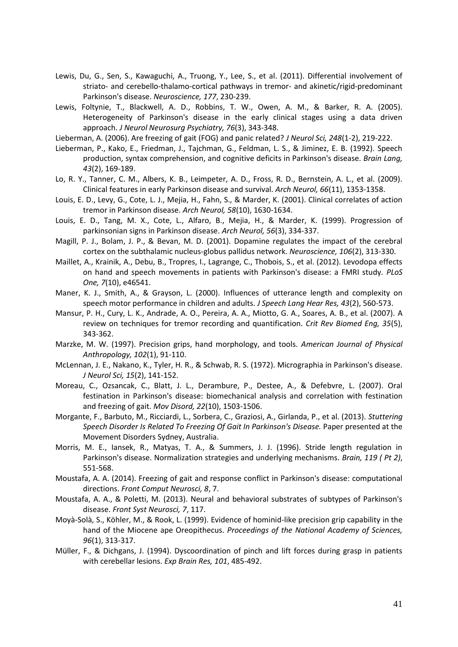- <span id="page-40-6"></span>Lewis, Du, G., Sen, S., Kawaguchi, A., Truong, Y., Lee, S., et al. (2011). Differential involvement of striato- and cerebello-thalamo-cortical pathways in tremor- and akinetic/rigid-predominant Parkinson's disease. *Neuroscience, 177*, 230-239.
- <span id="page-40-1"></span>Lewis, Foltynie, T., Blackwell, A. D., Robbins, T. W., Owen, A. M., & Barker, R. A. (2005). Heterogeneity of Parkinson's disease in the early clinical stages using a data driven approach. *J Neurol Neurosurg Psychiatry, 76*(3), 343-348.
- <span id="page-40-9"></span>Lieberman, A. (2006). Are freezing of gait (FOG) and panic related? *J Neurol Sci, 248*(1-2), 219-222.
- <span id="page-40-17"></span>Lieberman, P., Kako, E., Friedman, J., Tajchman, G., Feldman, L. S., & Jiminez, E. B. (1992). Speech production, syntax comprehension, and cognitive deficits in Parkinson's disease. *Brain Lang, 43*(2), 169-189.
- <span id="page-40-5"></span>Lo, R. Y., Tanner, C. M., Albers, K. B., Leimpeter, A. D., Fross, R. D., Bernstein, A. L., et al. (2009). Clinical features in early Parkinson disease and survival. *Arch Neurol, 66*(11), 1353-1358.
- <span id="page-40-4"></span>Louis, E. D., Levy, G., Cote, L. J., Mejia, H., Fahn, S., & Marder, K. (2001). Clinical correlates of action tremor in Parkinson disease. *Arch Neurol, 58*(10), 1630-1634.
- <span id="page-40-3"></span>Louis, E. D., Tang, M. X., Cote, L., Alfaro, B., Mejia, H., & Marder, K. (1999). Progression of parkinsonian signs in Parkinson disease. *Arch Neurol, 56*(3), 334-337.
- <span id="page-40-7"></span>Magill, P. J., Bolam, J. P., & Bevan, M. D. (2001). Dopamine regulates the impact of the cerebral cortex on the subthalamic nucleus-globus pallidus network. *Neuroscience, 106*(2), 313-330.
- <span id="page-40-18"></span>Maillet, A., Krainik, A., Debu, B., Tropres, I., Lagrange, C., Thobois, S., et al. (2012). Levodopa effects on hand and speech movements in patients with Parkinson's disease: a FMRI study. *PLoS One, 7*(10), e46541.
- <span id="page-40-16"></span>Maner, K. J., Smith, A., & Grayson, L. (2000). Influences of utterance length and complexity on speech motor performance in children and adults. *J Speech Lang Hear Res, 43*(2), 560-573.
- <span id="page-40-14"></span>Mansur, P. H., Cury, L. K., Andrade, A. O., Pereira, A. A., Miotto, G. A., Soares, A. B., et al. (2007). A review on techniques for tremor recording and quantification. *Crit Rev Biomed Eng, 35*(5), 343-362.
- <span id="page-40-11"></span>Marzke, M. W. (1997). Precision grips, hand morphology, and tools. *American Journal of Physical Anthropology, 102*(1), 91-110.
- <span id="page-40-10"></span>McLennan, J. E., Nakano, K., Tyler, H. R., & Schwab, R. S. (1972). Micrographia in Parkinson's disease. *J Neurol Sci, 15*(2), 141-152.
- <span id="page-40-0"></span>Moreau, C., Ozsancak, C., Blatt, J. L., Derambure, P., Destee, A., & Defebvre, L. (2007). Oral festination in Parkinson's disease: biomechanical analysis and correlation with festination and freezing of gait. *Mov Disord, 22*(10), 1503-1506.
- <span id="page-40-15"></span>Morgante, F., Barbuto, M., Ricciardi, L., Sorbera, C., Graziosi, A., Girlanda, P., et al. (2013). *Stuttering Speech Disorder Is Related To Freezing Of Gait In Parkinson's Disease.* Paper presented at the Movement Disorders Sydney, Australia.
- <span id="page-40-19"></span>Morris, M. E., Iansek, R., Matyas, T. A., & Summers, J. J. (1996). Stride length regulation in Parkinson's disease. Normalization strategies and underlying mechanisms. *Brain, 119 ( Pt 2)*, 551-568.
- <span id="page-40-8"></span>Moustafa, A. A. (2014). Freezing of gait and response conflict in Parkinson's disease: computational directions. *Front Comput Neurosci, 8*, 7.
- <span id="page-40-2"></span>Moustafa, A. A., & Poletti, M. (2013). Neural and behavioral substrates of subtypes of Parkinson's disease. *Front Syst Neurosci, 7*, 117.
- <span id="page-40-12"></span>Moyà-Solà, S., Köhler, M., & Rook, L. (1999). Evidence of hominid-like precision grip capability in the hand of the Miocene ape Oreopithecus. *Proceedings of the National Academy of Sciences, 96*(1), 313-317.
- <span id="page-40-13"></span>Müller, F., & Dichgans, J. (1994). Dyscoordination of pinch and lift forces during grasp in patients with cerebellar lesions. *Exp Brain Res, 101*, 485-492.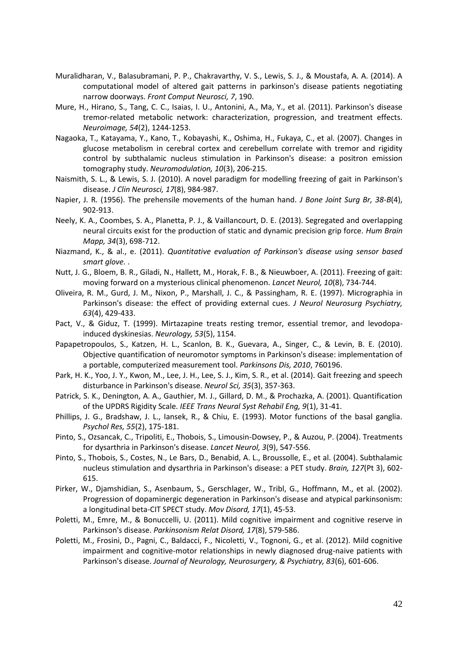- <span id="page-41-8"></span>Muralidharan, V., Balasubramani, P. P., Chakravarthy, V. S., Lewis, S. J., & Moustafa, A. A. (2014). A computational model of altered gait patterns in parkinson's disease patients negotiating narrow doorways. *Front Comput Neurosci, 7*, 190.
- <span id="page-41-2"></span>Mure, H., Hirano, S., Tang, C. C., Isaias, I. U., Antonini, A., Ma, Y., et al. (2011). Parkinson's disease tremor-related metabolic network: characterization, progression, and treatment effects. *Neuroimage, 54*(2), 1244-1253.
- <span id="page-41-7"></span>Nagaoka, T., Katayama, Y., Kano, T., Kobayashi, K., Oshima, H., Fukaya, C., et al. (2007). Changes in glucose metabolism in cerebral cortex and cerebellum correlate with tremor and rigidity control by subthalamic nucleus stimulation in Parkinson's disease: a positron emission tomography study. *Neuromodulation, 10*(3), 206-215.
- <span id="page-41-1"></span>Naismith, S. L., & Lewis, S. J. (2010). A novel paradigm for modelling freezing of gait in Parkinson's disease. *J Clin Neurosci, 17*(8), 984-987.
- <span id="page-41-10"></span>Napier, J. R. (1956). The prehensile movements of the human hand. *J Bone Joint Surg Br, 38-B*(4), 902-913.
- <span id="page-41-11"></span>Neely, K. A., Coombes, S. A., Planetta, P. J., & Vaillancourt, D. E. (2013). Segregated and overlapping neural circuits exist for the production of static and dynamic precision grip force. *Hum Brain Mapp, 34*(3), 698-712.
- <span id="page-41-13"></span>Niazmand, K., & al., e. (2011). *Quantitative evaluation of Parkinson's disease using sensor based smart glove.* .
- <span id="page-41-0"></span>Nutt, J. G., Bloem, B. R., Giladi, N., Hallett, M., Horak, F. B., & Nieuwboer, A. (2011). Freezing of gait: moving forward on a mysterious clinical phenomenon. *Lancet Neurol, 10*(8), 734-744.
- <span id="page-41-18"></span>Oliveira, R. M., Gurd, J. M., Nixon, P., Marshall, J. C., & Passingham, R. E. (1997). Micrographia in Parkinson's disease: the effect of providing external cues. *J Neurol Neurosurg Psychiatry, 63*(4), 429-433.
- <span id="page-41-6"></span>Pact, V., & Giduz, T. (1999). Mirtazapine treats resting tremor, essential tremor, and levodopainduced dyskinesias. *Neurology, 53*(5), 1154.
- <span id="page-41-14"></span>Papapetropoulos, S., Katzen, H. L., Scanlon, B. K., Guevara, A., Singer, C., & Levin, B. E. (2010). Objective quantification of neuromotor symptoms in Parkinson's disease: implementation of a portable, computerized measurement tool. *Parkinsons Dis, 2010*, 760196.
- <span id="page-41-15"></span>Park, H. K., Yoo, J. Y., Kwon, M., Lee, J. H., Lee, S. J., Kim, S. R., et al. (2014). Gait freezing and speech disturbance in Parkinson's disease. *Neurol Sci, 35*(3), 357-363.
- <span id="page-41-12"></span>Patrick, S. K., Denington, A. A., Gauthier, M. J., Gillard, D. M., & Prochazka, A. (2001). Quantification of the UPDRS Rigidity Scale. *IEEE Trans Neural Syst Rehabil Eng, 9*(1), 31-41.
- <span id="page-41-9"></span>Phillips, J. G., Bradshaw, J. L., Iansek, R., & Chiu, E. (1993). Motor functions of the basal ganglia. *Psychol Res, 55*(2), 175-181.
- <span id="page-41-17"></span>Pinto, S., Ozsancak, C., Tripoliti, E., Thobois, S., Limousin-Dowsey, P., & Auzou, P. (2004). Treatments for dysarthria in Parkinson's disease. *Lancet Neurol, 3*(9), 547-556.
- <span id="page-41-16"></span>Pinto, S., Thobois, S., Costes, N., Le Bars, D., Benabid, A. L., Broussolle, E., et al. (2004). Subthalamic nucleus stimulation and dysarthria in Parkinson's disease: a PET study. *Brain, 127*(Pt 3), 602- 615.
- <span id="page-41-5"></span>Pirker, W., Djamshidian, S., Asenbaum, S., Gerschlager, W., Tribl, G., Hoffmann, M., et al. (2002). Progression of dopaminergic degeneration in Parkinson's disease and atypical parkinsonism: a longitudinal beta-CIT SPECT study. *Mov Disord, 17*(1), 45-53.
- <span id="page-41-3"></span>Poletti, M., Emre, M., & Bonuccelli, U. (2011). Mild cognitive impairment and cognitive reserve in Parkinson's disease. *Parkinsonism Relat Disord, 17*(8), 579-586.
- <span id="page-41-4"></span>Poletti, M., Frosini, D., Pagni, C., Baldacci, F., Nicoletti, V., Tognoni, G., et al. (2012). Mild cognitive impairment and cognitive-motor relationships in newly diagnosed drug-naive patients with Parkinson's disease. *Journal of Neurology, Neurosurgery, & Psychiatry, 83*(6), 601-606.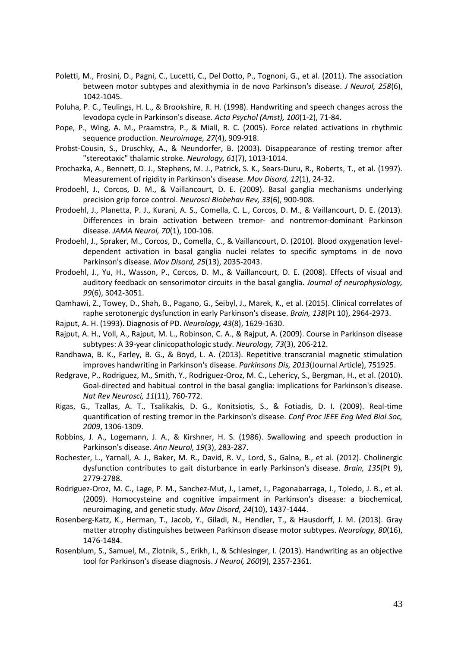- <span id="page-42-0"></span>Poletti, M., Frosini, D., Pagni, C., Lucetti, C., Del Dotto, P., Tognoni, G., et al. (2011). The association between motor subtypes and alexithymia in de novo Parkinson's disease. *J Neurol, 258*(6), 1042-1045.
- <span id="page-42-13"></span>Poluha, P. C., Teulings, H. L., & Brookshire, R. H. (1998). Handwriting and speech changes across the levodopa cycle in Parkinson's disease. *Acta Psychol (Amst), 100*(1-2), 71-84.
- <span id="page-42-14"></span>Pope, P., Wing, A. M., Praamstra, P., & Miall, R. C. (2005). Force related activations in rhythmic sequence production. *Neuroimage, 27*(4), 909-918.
- <span id="page-42-6"></span>Probst-Cousin, S., Druschky, A., & Neundorfer, B. (2003). Disappearance of resting tremor after "stereotaxic" thalamic stroke. *Neurology, 61*(7), 1013-1014.
- <span id="page-42-18"></span>Prochazka, A., Bennett, D. J., Stephens, M. J., Patrick, S. K., Sears-Duru, R., Roberts, T., et al. (1997). Measurement of rigidity in Parkinson's disease. *Mov Disord, 12*(1), 24-32.
- <span id="page-42-16"></span>Prodoehl, J., Corcos, D. M., & Vaillancourt, D. E. (2009). Basal ganglia mechanisms underlying precision grip force control. *Neurosci Biobehav Rev, 33*(6), 900-908.
- <span id="page-42-8"></span>Prodoehl, J., Planetta, P. J., Kurani, A. S., Comella, C. L., Corcos, D. M., & Vaillancourt, D. E. (2013). Differences in brain activation between tremor- and nontremor-dominant Parkinson disease. *JAMA Neurol, 70*(1), 100-106.
- <span id="page-42-5"></span>Prodoehl, J., Spraker, M., Corcos, D., Comella, C., & Vaillancourt, D. (2010). Blood oxygenation leveldependent activation in basal ganglia nuclei relates to specific symptoms in de novo Parkinson's disease. *Mov Disord, 25*(13), 2035-2043.
- <span id="page-42-15"></span>Prodoehl, J., Yu, H., Wasson, P., Corcos, D. M., & Vaillancourt, D. E. (2008). Effects of visual and auditory feedback on sensorimotor circuits in the basal ganglia. *Journal of neurophysiology, 99*(6), 3042-3051.
- <span id="page-42-4"></span>Qamhawi, Z., Towey, D., Shah, B., Pagano, G., Seibyl, J., Marek, K., et al. (2015). Clinical correlates of raphe serotonergic dysfunction in early Parkinson's disease. *Brain, 138*(Pt 10), 2964-2973.
- <span id="page-42-1"></span>Rajput, A. H. (1993). Diagnosis of PD. *Neurology, 43*(8), 1629-1630.
- <span id="page-42-3"></span>Rajput, A. H., Voll, A., Rajput, M. L., Robinson, C. A., & Rajput, A. (2009). Course in Parkinson disease subtypes: A 39-year clinicopathologic study. *Neurology, 73*(3), 206-212.
- <span id="page-42-12"></span>Randhawa, B. K., Farley, B. G., & Boyd, L. A. (2013). Repetitive transcranial magnetic stimulation improves handwriting in Parkinson's disease. *Parkinsons Dis, 2013*(Journal Article), 751925.
- <span id="page-42-10"></span>Redgrave, P., Rodriguez, M., Smith, Y., Rodriguez-Oroz, M. C., Lehericy, S., Bergman, H., et al. (2010). Goal-directed and habitual control in the basal ganglia: implications for Parkinson's disease. *Nat Rev Neurosci, 11*(11), 760-772.
- <span id="page-42-17"></span>Rigas, G., Tzallas, A. T., Tsalikakis, D. G., Konitsiotis, S., & Fotiadis, D. I. (2009). Real-time quantification of resting tremor in the Parkinson's disease. *Conf Proc IEEE Eng Med Biol Soc, 2009*, 1306-1309.
- <span id="page-42-19"></span>Robbins, J. A., Logemann, J. A., & Kirshner, H. S. (1986). Swallowing and speech production in Parkinson's disease. *Ann Neurol, 19*(3), 283-287.
- <span id="page-42-9"></span>Rochester, L., Yarnall, A. J., Baker, M. R., David, R. V., Lord, S., Galna, B., et al. (2012). Cholinergic dysfunction contributes to gait disturbance in early Parkinson's disease. *Brain, 135*(Pt 9), 2779-2788.
- <span id="page-42-2"></span>Rodriguez-Oroz, M. C., Lage, P. M., Sanchez-Mut, J., Lamet, I., Pagonabarraga, J., Toledo, J. B., et al. (2009). Homocysteine and cognitive impairment in Parkinson's disease: a biochemical, neuroimaging, and genetic study. *Mov Disord, 24*(10), 1437-1444.
- <span id="page-42-7"></span>Rosenberg-Katz, K., Herman, T., Jacob, Y., Giladi, N., Hendler, T., & Hausdorff, J. M. (2013). Gray matter atrophy distinguishes between Parkinson disease motor subtypes. *Neurology, 80*(16), 1476-1484.
- <span id="page-42-11"></span>Rosenblum, S., Samuel, M., Zlotnik, S., Erikh, I., & Schlesinger, I. (2013). Handwriting as an objective tool for Parkinson's disease diagnosis. *J Neurol, 260*(9), 2357-2361.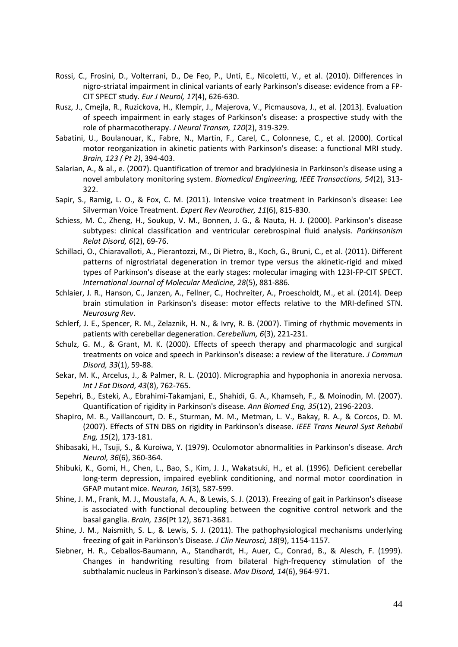- <span id="page-43-3"></span>Rossi, C., Frosini, D., Volterrani, D., De Feo, P., Unti, E., Nicoletti, V., et al. (2010). Differences in nigro-striatal impairment in clinical variants of early Parkinson's disease: evidence from a FP-CIT SPECT study. *Eur J Neurol, 17*(4), 626-630.
- <span id="page-43-12"></span>Rusz, J., Cmejla, R., Ruzickova, H., Klempir, J., Majerova, V., Picmausova, J., et al. (2013). Evaluation of speech impairment in early stages of Parkinson's disease: a prospective study with the role of pharmacotherapy. *J Neural Transm, 120*(2), 319-329.
- <span id="page-43-4"></span>Sabatini, U., Boulanouar, K., Fabre, N., Martin, F., Carel, C., Colonnese, C., et al. (2000). Cortical motor reorganization in akinetic patients with Parkinson's disease: a functional MRI study. *Brain, 123 ( Pt 2)*, 394-403.
- <span id="page-43-10"></span>Salarian, A., & al., e. (2007). Quantification of tremor and bradykinesia in Parkinson's disease using a novel ambulatory monitoring system. *Biomedical Engineering, IEEE Transactions, 54*(2), 313- 322.
- <span id="page-43-14"></span>Sapir, S., Ramig, L. O., & Fox, C. M. (2011). Intensive voice treatment in Parkinson's disease: Lee Silverman Voice Treatment. *Expert Rev Neurother, 11*(6), 815-830.
- <span id="page-43-1"></span>Schiess, M. C., Zheng, H., Soukup, V. M., Bonnen, J. G., & Nauta, H. J. (2000). Parkinson's disease subtypes: clinical classification and ventricular cerebrospinal fluid analysis. *Parkinsonism Relat Disord, 6*(2), 69-76.
- <span id="page-43-2"></span>Schillaci, O., Chiaravalloti, A., Pierantozzi, M., Di Pietro, B., Koch, G., Bruni, C., et al. (2011). Different patterns of nigrostriatal degeneration in tremor type versus the akinetic-rigid and mixed types of Parkinson's disease at the early stages: molecular imaging with 123I-FP-CIT SPECT. *International Journal of Molecular Medicine, 28*(5), 881-886.
- <span id="page-43-6"></span>Schlaier, J. R., Hanson, C., Janzen, A., Fellner, C., Hochreiter, A., Proescholdt, M., et al. (2014). Deep brain stimulation in Parkinson's disease: motor effects relative to the MRI-defined STN. *Neurosurg Rev*.
- <span id="page-43-16"></span>Schlerf, J. E., Spencer, R. M., Zelaznik, H. N., & Ivry, R. B. (2007). Timing of rhythmic movements in patients with cerebellar degeneration. *Cerebellum, 6*(3), 221-231.
- <span id="page-43-13"></span>Schulz, G. M., & Grant, M. K. (2000). Effects of speech therapy and pharmacologic and surgical treatments on voice and speech in Parkinson's disease: a review of the literature. *J Commun Disord, 33*(1), 59-88.
- <span id="page-43-15"></span>Sekar, M. K., Arcelus, J., & Palmer, R. L. (2010). Micrographia and hypophonia in anorexia nervosa. *Int J Eat Disord, 43*(8), 762-765.
- <span id="page-43-11"></span>Sepehri, B., Esteki, A., Ebrahimi-Takamjani, E., Shahidi, G. A., Khamseh, F., & Moinodin, M. (2007). Quantification of rigidity in Parkinson's disease. *Ann Biomed Eng, 35*(12), 2196-2203.
- <span id="page-43-5"></span>Shapiro, M. B., Vaillancourt, D. E., Sturman, M. M., Metman, L. V., Bakay, R. A., & Corcos, D. M. (2007). Effects of STN DBS on rigidity in Parkinson's disease. *IEEE Trans Neural Syst Rehabil Eng, 15*(2), 173-181.
- <span id="page-43-0"></span>Shibasaki, H., Tsuji, S., & Kuroiwa, Y. (1979). Oculomotor abnormalities in Parkinson's disease. *Arch Neurol, 36*(6), 360-364.
- <span id="page-43-17"></span>Shibuki, K., Gomi, H., Chen, L., Bao, S., Kim, J. J., Wakatsuki, H., et al. (1996). Deficient cerebellar long-term depression, impaired eyeblink conditioning, and normal motor coordination in GFAP mutant mice. *Neuron, 16*(3), 587-599.
- <span id="page-43-7"></span>Shine, J. M., Frank, M. J., Moustafa, A. A., & Lewis, S. J. (2013). Freezing of gait in Parkinson's disease is associated with functional decoupling between the cognitive control network and the basal ganglia. *Brain, 136*(Pt 12), 3671-3681.
- <span id="page-43-8"></span>Shine, J. M., Naismith, S. L., & Lewis, S. J. (2011). The pathophysiological mechanisms underlying freezing of gait in Parkinson's Disease. *J Clin Neurosci, 18*(9), 1154-1157.
- <span id="page-43-9"></span>Siebner, H. R., Ceballos-Baumann, A., Standhardt, H., Auer, C., Conrad, B., & Alesch, F. (1999). Changes in handwriting resulting from bilateral high-frequency stimulation of the subthalamic nucleus in Parkinson's disease. *Mov Disord, 14*(6), 964-971.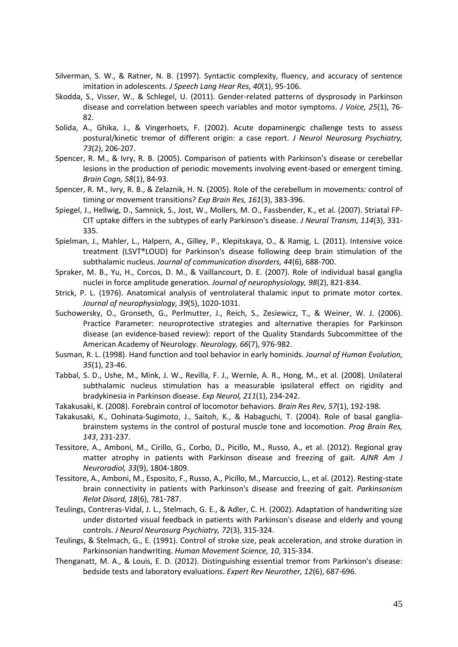- <span id="page-44-14"></span>Silverman, S. W., & Ratner, N. B. (1997). Syntactic complexity, fluency, and accuracy of sentence imitation in adolescents. *J Speech Lang Hear Res, 40*(1), 95-106.
- <span id="page-44-0"></span>Skodda, S., Visser, W., & Schlegel, U. (2011). Gender-related patterns of dysprosody in Parkinson disease and correlation between speech variables and motor symptoms. *J Voice, 25*(1), 76- 82.
- <span id="page-44-3"></span>Solida, A., Ghika, J., & Vingerhoets, F. (2002). Acute dopaminergic challenge tests to assess postural/kinetic tremor of different origin: a case report. *J Neurol Neurosurg Psychiatry, 73*(2), 206-207.
- <span id="page-44-17"></span>Spencer, R. M., & Ivry, R. B. (2005). Comparison of patients with Parkinson's disease or cerebellar lesions in the production of periodic movements involving event-based or emergent timing. *Brain Cogn, 58*(1), 84-93.
- <span id="page-44-18"></span>Spencer, R. M., Ivry, R. B., & Zelaznik, H. N. (2005). Role of the cerebellum in movements: control of timing or movement transitions? *Exp Brain Res, 161*(3), 383-396.
- <span id="page-44-2"></span>Spiegel, J., Hellwig, D., Samnick, S., Jost, W., Mollers, M. O., Fassbender, K., et al. (2007). Striatal FP-CIT uptake differs in the subtypes of early Parkinson's disease. *J Neural Transm, 114*(3), 331- 335.
- <span id="page-44-15"></span>Spielman, J., Mahler, L., Halpern, A., Gilley, P., Klepitskaya, O., & Ramig, L. (2011). Intensive voice treatment (LSVT®LOUD) for Parkinson's disease following deep brain stimulation of the subthalamic nucleus. *Journal of communication disorders, 44*(6), 688-700.
- <span id="page-44-13"></span>Spraker, M. B., Yu, H., Corcos, D. M., & Vaillancourt, D. E. (2007). Role of individual basal ganglia nuclei in force amplitude generation. *Journal of neurophysiology, 98*(2), 821-834.
- <span id="page-44-12"></span>Strick, P. L. (1976). Anatomical analysis of ventrolateral thalamic input to primate motor cortex. *Journal of neurophysiology, 39*(5), 1020-1031.
- <span id="page-44-16"></span>Suchowersky, O., Gronseth, G., Perlmutter, J., Reich, S., Zesiewicz, T., & Weiner, W. J. (2006). Practice Parameter: neuroprotective strategies and alternative therapies for Parkinson disease (an evidence-based review): report of the Quality Standards Subcommittee of the American Academy of Neurology. *Neurology, 66*(7), 976-982.
- <span id="page-44-11"></span>Susman, R. L. (1998). Hand function and tool behavior in early hominids. *Journal of Human Evolution, 35*(1), 23-46.
- <span id="page-44-4"></span>Tabbal, S. D., Ushe, M., Mink, J. W., Revilla, F. J., Wernle, A. R., Hong, M., et al. (2008). Unilateral subthalamic nucleus stimulation has a measurable ipsilateral effect on rigidity and bradykinesia in Parkinson disease. *Exp Neurol, 211*(1), 234-242.
- <span id="page-44-5"></span>Takakusaki, K. (2008). Forebrain control of locomotor behaviors. *Brain Res Rev, 57*(1), 192-198.
- <span id="page-44-6"></span>Takakusaki, K., Oohinata-Sugimoto, J., Saitoh, K., & Habaguchi, T. (2004). Role of basal gangliabrainstem systems in the control of postural muscle tone and locomotion. *Prog Brain Res, 143*, 231-237.
- <span id="page-44-8"></span>Tessitore, A., Amboni, M., Cirillo, G., Corbo, D., Picillo, M., Russo, A., et al. (2012). Regional gray matter atrophy in patients with Parkinson disease and freezing of gait. *AJNR Am J Neuroradiol, 33*(9), 1804-1809.
- <span id="page-44-7"></span>Tessitore, A., Amboni, M., Esposito, F., Russo, A., Picillo, M., Marcuccio, L., et al. (2012). Resting-state brain connectivity in patients with Parkinson's disease and freezing of gait. *Parkinsonism Relat Disord, 18*(6), 781-787.
- <span id="page-44-9"></span>Teulings, Contreras-Vidal, J. L., Stelmach, G. E., & Adler, C. H. (2002). Adaptation of handwriting size under distorted visual feedback in patients with Parkinson's disease and elderly and young controls. *J Neurol Neurosurg Psychiatry, 72*(3), 315-324.
- <span id="page-44-10"></span>Teulings, & Stelmach, G., E. (1991). Control of stroke size, peak acceleration, and stroke duration in Parkinsonian handwriting. *Human Movement Science, 10*, 315-334.
- <span id="page-44-1"></span>Thenganatt, M. A., & Louis, E. D. (2012). Distinguishing essential tremor from Parkinson's disease: bedside tests and laboratory evaluations. *Expert Rev Neurother, 12*(6), 687-696.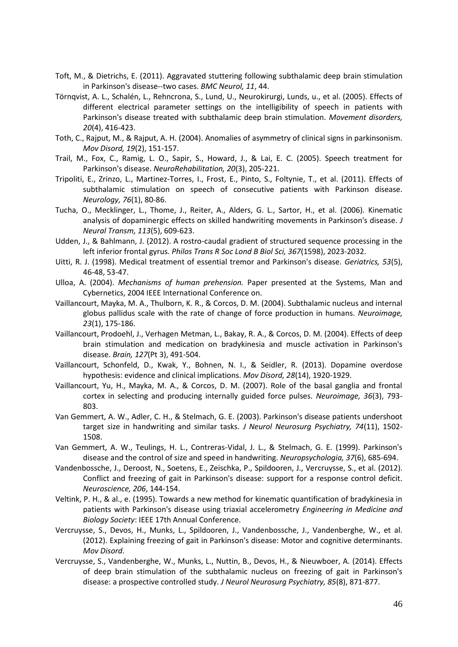- <span id="page-45-16"></span>Toft, M., & Dietrichs, E. (2011). Aggravated stuttering following subthalamic deep brain stimulation in Parkinson's disease--two cases. *BMC Neurol, 11*, 44.
- <span id="page-45-14"></span>Törnqvist, A. L., Schalén, L., Rehncrona, S., Lund, U., Neurokirurgi, Lunds, u., et al. (2005). Effects of different electrical parameter settings on the intelligibility of speech in patients with Parkinson's disease treated with subthalamic deep brain stimulation. *Movement disorders, 20*(4), 416-423.
- <span id="page-45-1"></span>Toth, C., Rajput, M., & Rajput, A. H. (2004). Anomalies of asymmetry of clinical signs in parkinsonism. *Mov Disord, 19*(2), 151-157.
- <span id="page-45-13"></span>Trail, M., Fox, C., Ramig, L. O., Sapir, S., Howard, J., & Lai, E. C. (2005). Speech treatment for Parkinson's disease. *NeuroRehabilitation, 20*(3), 205-221.
- <span id="page-45-15"></span>Tripoliti, E., Zrinzo, L., Martinez-Torres, I., Frost, E., Pinto, S., Foltynie, T., et al. (2011). Effects of subthalamic stimulation on speech of consecutive patients with Parkinson disease. *Neurology, 76*(1), 80-86.
- <span id="page-45-7"></span>Tucha, O., Mecklinger, L., Thome, J., Reiter, A., Alders, G. L., Sartor, H., et al. (2006). Kinematic analysis of dopaminergic effects on skilled handwriting movements in Parkinson's disease. *J Neural Transm, 113*(5), 609-623.
- <span id="page-45-18"></span>Udden, J., & Bahlmann, J. (2012). A rostro-caudal gradient of structured sequence processing in the left inferior frontal gyrus. *Philos Trans R Soc Lond B Biol Sci, 367*(1598), 2023-2032.
- <span id="page-45-3"></span>Uitti, R. J. (1998). Medical treatment of essential tremor and Parkinson's disease. *Geriatrics, 53*(5), 46-48, 53-47.
- <span id="page-45-9"></span>Ulloa, A. (2004). *Mechanisms of human prehension.* Paper presented at the Systems, Man and Cybernetics, 2004 IEEE International Conference on.
- <span id="page-45-11"></span>Vaillancourt, Mayka, M. A., Thulborn, K. R., & Corcos, D. M. (2004). Subthalamic nucleus and internal globus pallidus scale with the rate of change of force production in humans. *Neuroimage, 23*(1), 175-186.
- <span id="page-45-2"></span>Vaillancourt, Prodoehl, J., Verhagen Metman, L., Bakay, R. A., & Corcos, D. M. (2004). Effects of deep brain stimulation and medication on bradykinesia and muscle activation in Parkinson's disease. *Brain, 127*(Pt 3), 491-504.
- <span id="page-45-17"></span>Vaillancourt, Schonfeld, D., Kwak, Y., Bohnen, N. I., & Seidler, R. (2013). Dopamine overdose hypothesis: evidence and clinical implications. *Mov Disord, 28*(14), 1920-1929.
- <span id="page-45-10"></span>Vaillancourt, Yu, H., Mayka, M. A., & Corcos, D. M. (2007). Role of the basal ganglia and frontal cortex in selecting and producing internally guided force pulses. *Neuroimage, 36*(3), 793- 803.
- <span id="page-45-8"></span>Van Gemmert, A. W., Adler, C. H., & Stelmach, G. E. (2003). Parkinson's disease patients undershoot target size in handwriting and similar tasks. *J Neurol Neurosurg Psychiatry, 74*(11), 1502- 1508.
- <span id="page-45-6"></span>Van Gemmert, A. W., Teulings, H. L., Contreras-Vidal, J. L., & Stelmach, G. E. (1999). Parkinson's disease and the control of size and speed in handwriting. *Neuropsychologia, 37*(6), 685-694.
- <span id="page-45-4"></span>Vandenbossche, J., Deroost, N., Soetens, E., Zeischka, P., Spildooren, J., Vercruysse, S., et al. (2012). Conflict and freezing of gait in Parkinson's disease: support for a response control deficit. *Neuroscience, 206*, 144-154.
- <span id="page-45-12"></span>Veltink, P. H., & al., e. (1995). Towards a new method for kinematic quantification of bradykinesia in patients with Parkinson's disease using triaxial accelerometry *Engineering in Medicine and Biology Society*: IEEE 17th Annual Conference.
- <span id="page-45-0"></span>Vercruysse, S., Devos, H., Munks, L., Spildooren, J., Vandenbossche, J., Vandenberghe, W., et al. (2012). Explaining freezing of gait in Parkinson's disease: Motor and cognitive determinants. *Mov Disord*.
- <span id="page-45-5"></span>Vercruysse, S., Vandenberghe, W., Munks, L., Nuttin, B., Devos, H., & Nieuwboer, A. (2014). Effects of deep brain stimulation of the subthalamic nucleus on freezing of gait in Parkinson's disease: a prospective controlled study. *J Neurol Neurosurg Psychiatry, 85*(8), 871-877.